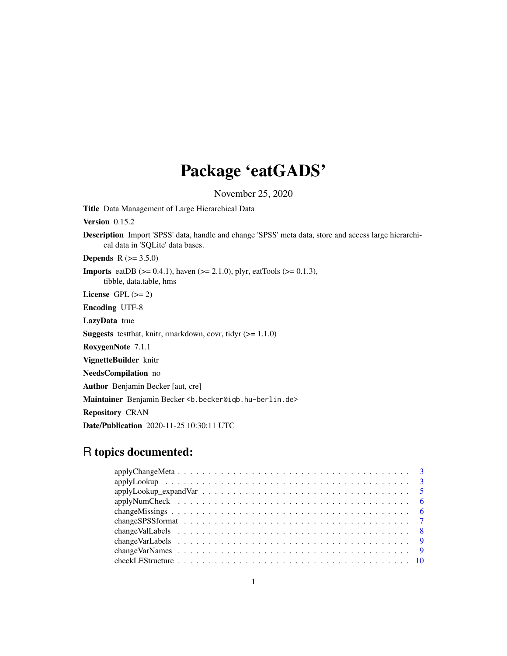# Package 'eatGADS'

November 25, 2020

<span id="page-0-0"></span>Title Data Management of Large Hierarchical Data

Version 0.15.2

Description Import 'SPSS' data, handle and change 'SPSS' meta data, store and access large hierarchical data in 'SQLite' data bases.

**Depends**  $R (= 3.5.0)$ 

**Imports** eatDB ( $>= 0.4.1$ ), haven ( $>= 2.1.0$ ), plyr, eatTools ( $>= 0.1.3$ ), tibble, data.table, hms

License GPL  $(>= 2)$ 

Encoding UTF-8

LazyData true

**Suggests** test that, knitr, rmarkdown, covr, tidyr  $(>= 1.1.0)$ 

RoxygenNote 7.1.1

VignetteBuilder knitr

NeedsCompilation no

Author Benjamin Becker [aut, cre]

Maintainer Benjamin Becker <b. becker@iqb.hu-berlin.de>

Repository CRAN

Date/Publication 2020-11-25 10:30:11 UTC

# R topics documented: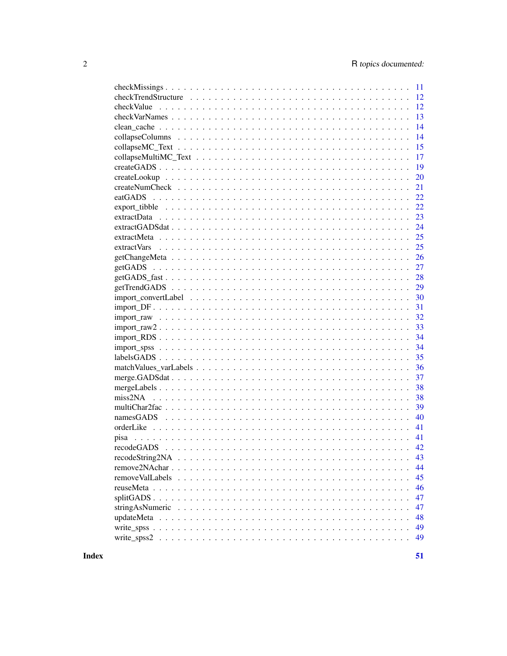|                                                                                                                      | 11 |
|----------------------------------------------------------------------------------------------------------------------|----|
|                                                                                                                      | 12 |
|                                                                                                                      | 12 |
|                                                                                                                      | 13 |
|                                                                                                                      | 14 |
|                                                                                                                      | 14 |
|                                                                                                                      | 15 |
|                                                                                                                      | 17 |
|                                                                                                                      | 19 |
| $createLookup \dots \dots \dots \dots \dots \dots \dots \dots \dots \dots \dots \dots \dots \dots \dots \dots \dots$ | 20 |
|                                                                                                                      | 21 |
|                                                                                                                      | 22 |
|                                                                                                                      | 22 |
|                                                                                                                      | 23 |
|                                                                                                                      | 24 |
|                                                                                                                      | 25 |
|                                                                                                                      | 25 |
|                                                                                                                      | 26 |
|                                                                                                                      | 27 |
| $getGADS_fast \dots \dots \dots \dots \dots \dots \dots \dots \dots \dots \dots \dots \dots \dots \dots \dots$       | 28 |
|                                                                                                                      | 29 |
|                                                                                                                      | 30 |
|                                                                                                                      | 31 |
|                                                                                                                      | 32 |
|                                                                                                                      | 33 |
|                                                                                                                      | 34 |
|                                                                                                                      | 34 |
|                                                                                                                      | 35 |
|                                                                                                                      | 36 |
|                                                                                                                      | 37 |
|                                                                                                                      | 38 |
|                                                                                                                      | 38 |
|                                                                                                                      | 39 |
|                                                                                                                      | 40 |
|                                                                                                                      | 41 |
|                                                                                                                      | 41 |
|                                                                                                                      | 42 |
|                                                                                                                      | 43 |
|                                                                                                                      | 44 |
|                                                                                                                      | 45 |
|                                                                                                                      | 46 |
|                                                                                                                      | 47 |
|                                                                                                                      | 47 |
|                                                                                                                      | 48 |
|                                                                                                                      | 49 |
|                                                                                                                      | 49 |
|                                                                                                                      |    |

**Index**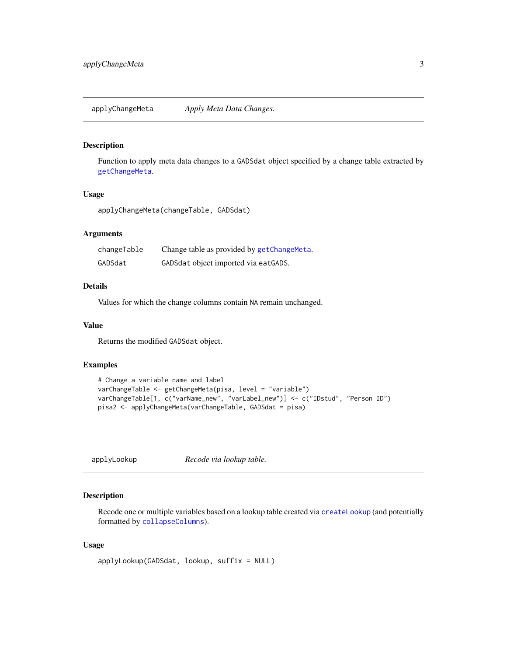<span id="page-2-2"></span><span id="page-2-0"></span>applyChangeMeta *Apply Meta Data Changes.*

## Description

Function to apply meta data changes to a GADSdat object specified by a change table extracted by [getChangeMeta](#page-25-1).

## Usage

```
applyChangeMeta(changeTable, GADSdat)
```
#### Arguments

| changeTable | Change table as provided by getChangeMeta. |
|-------------|--------------------------------------------|
| GADSdat     | GADSdat object imported via eatGADS.       |

## Details

Values for which the change columns contain NA remain unchanged.

#### Value

Returns the modified GADSdat object.

## Examples

```
# Change a variable name and label
varChangeTable <- getChangeMeta(pisa, level = "variable")
varChangeTable[1, c("varName_new", "varLabel_new")] <- c("IDstud", "Person ID")
pisa2 <- applyChangeMeta(varChangeTable, GADSdat = pisa)
```
<span id="page-2-1"></span>applyLookup *Recode via lookup table.*

## Description

Recode one or multiple variables based on a lookup table created via [createLookup](#page-19-1) (and potentially formatted by [collapseColumns](#page-13-1)).

#### Usage

```
applyLookup(GADSdat, lookup, suffix = NULL)
```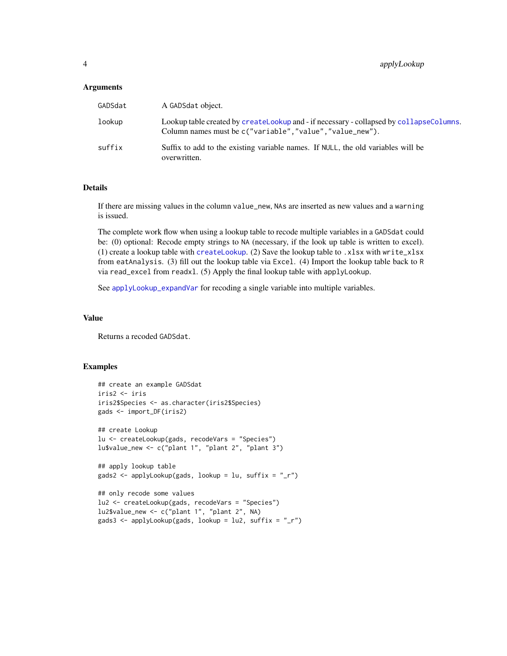#### <span id="page-3-0"></span>Arguments

| GADSdat | A GADSdat object.                                                                                                                                  |
|---------|----------------------------------------------------------------------------------------------------------------------------------------------------|
| lookup  | Lookup table created by createLookup and - if necessary - collapsed by collapseColumns.<br>Column names must be c("variable","value","value_new"). |
| suffix  | Suffix to add to the existing variable names. If NULL, the old variables will be<br>overwritten.                                                   |

#### Details

If there are missing values in the column value\_new, NAs are inserted as new values and a warning is issued.

The complete work flow when using a lookup table to recode multiple variables in a GADSdat could be: (0) optional: Recode empty strings to NA (necessary, if the look up table is written to excel). (1) create a lookup table with [createLookup](#page-19-1). (2) Save the lookup table to .xlsx with write\_xlsx from eatAnalysis. (3) fill out the lookup table via Excel. (4) Import the lookup table back to R via read\_excel from readxl. (5) Apply the final lookup table with applyLookup.

See [applyLookup\\_expandVar](#page-4-1) for recoding a single variable into multiple variables.

#### Value

Returns a recoded GADSdat.

```
## create an example GADSdat
iris2 <- iris
iris2$Species <- as.character(iris2$Species)
gads <- import_DF(iris2)
## create Lookup
lu <- createLookup(gads, recodeVars = "Species")
lu$value_new <- c("plant 1", "plant 2", "plant 3")
## apply lookup table
gads2 <- applyLookup(gads, lookup = lu, suffix = "_r")
## only recode some values
lu2 <- createLookup(gads, recodeVars = "Species")
lu2$value_new <- c("plant 1", "plant 2", NA)
gads3 <- applyLookup(gads, lookup = lu2, suffix = "_r")
```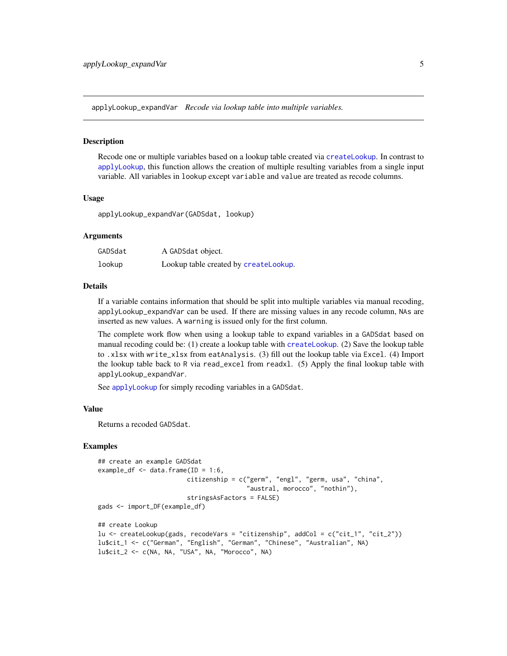<span id="page-4-1"></span><span id="page-4-0"></span>applyLookup\_expandVar *Recode via lookup table into multiple variables.*

#### Description

Recode one or multiple variables based on a lookup table created via [createLookup](#page-19-1). In contrast to [applyLookup](#page-2-1), this function allows the creation of multiple resulting variables from a single input variable. All variables in lookup except variable and value are treated as recode columns.

#### Usage

applyLookup\_expandVar(GADSdat, lookup)

#### Arguments

| GADSdat | A GADSdat object.                     |
|---------|---------------------------------------|
| lookup  | Lookup table created by createLookup. |

#### Details

If a variable contains information that should be split into multiple variables via manual recoding, applyLookup\_expandVar can be used. If there are missing values in any recode column, NAs are inserted as new values. A warning is issued only for the first column.

The complete work flow when using a lookup table to expand variables in a GADSdat based on manual recoding could be: (1) create a lookup table with [createLookup](#page-19-1). (2) Save the lookup table to .xlsx with write\_xlsx from eatAnalysis. (3) fill out the lookup table via Excel. (4) Import the lookup table back to R via read\_excel from readxl. (5) Apply the final lookup table with applyLookup\_expandVar.

See [applyLookup](#page-2-1) for simply recoding variables in a GADSdat.

## Value

Returns a recoded GADSdat.

```
## create an example GADSdat
example_df \leq data.frame(ID = 1:6,
                        citizenship = c("germ", "engl", "germ, usa", "china",
                                        "austral, morocco", "nothin"),
                        stringsAsFactors = FALSE)
gads <- import_DF(example_df)
## create Lookup
lu <- createLookup(gads, recodeVars = "citizenship", addCol = c("cit_1", "cit_2"))
lu$cit_1 <- c("German", "English", "German", "Chinese", "Australian", NA)
lu$cit_2 <- c(NA, NA, "USA", NA, "Morocco", NA)
```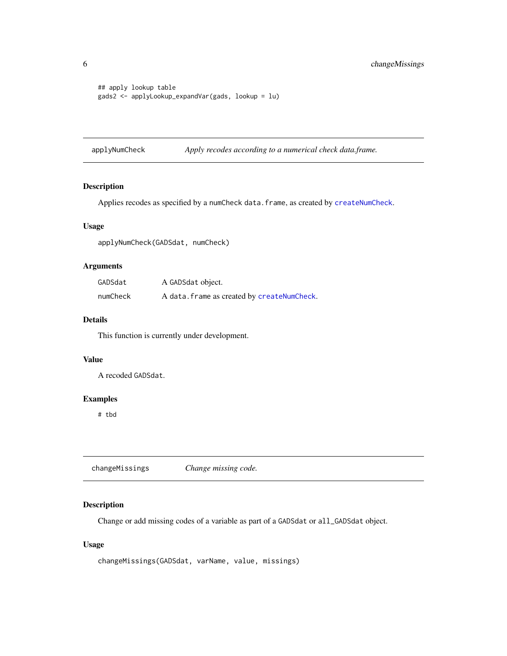```
## apply lookup table
gads2 <- applyLookup_expandVar(gads, lookup = lu)
```
applyNumCheck *Apply recodes according to a numerical check data.frame.*

## Description

Applies recodes as specified by a numCheck data.frame, as created by [createNumCheck](#page-20-1).

#### Usage

applyNumCheck(GADSdat, numCheck)

## Arguments

| GADSdat  | A GADSdat object.                           |
|----------|---------------------------------------------|
| numCheck | A data. frame as created by createNumCheck. |

## Details

This function is currently under development.

## Value

A recoded GADSdat.

## Examples

# tbd

<span id="page-5-1"></span>changeMissings *Change missing code.*

## Description

Change or add missing codes of a variable as part of a GADSdat or all\_GADSdat object.

## Usage

```
changeMissings(GADSdat, varName, value, missings)
```
<span id="page-5-0"></span>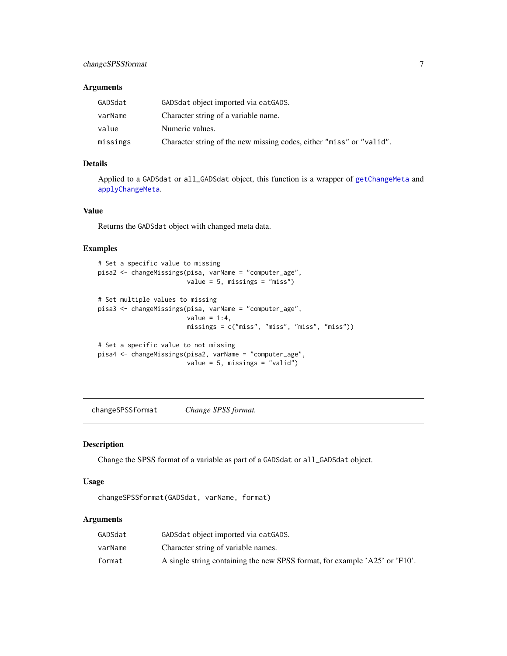## <span id="page-6-0"></span>changeSPSSformat 7

## Arguments

| GADSdat  | GADS dat object imported via eat GADS.                               |
|----------|----------------------------------------------------------------------|
| varName  | Character string of a variable name.                                 |
| value    | Numeric values.                                                      |
| missings | Character string of the new missing codes, either "miss" or "valid". |

## Details

Applied to a GADSdat or all\_GADSdat object, this function is a wrapper of [getChangeMeta](#page-25-1) and [applyChangeMeta](#page-2-2).

## Value

Returns the GADSdat object with changed meta data.

#### Examples

```
# Set a specific value to missing
pisa2 <- changeMissings(pisa, varName = "computer_age",
                        value = 5, missings = "miss")
# Set multiple values to missing
pisa3 <- changeMissings(pisa, varName = "computer_age",
                        value = 1:4,
                        missings = c("miss", "miss", "miss", "miss"))
# Set a specific value to not missing
pisa4 <- changeMissings(pisa2, varName = "computer_age",
                        value = 5, missings = "valid")
```
changeSPSSformat *Change SPSS format.*

## Description

Change the SPSS format of a variable as part of a GADSdat or all\_GADSdat object.

#### Usage

changeSPSSformat(GADSdat, varName, format)

## Arguments

| GADSdat | GADS dat object imported via eat GADS.                                      |
|---------|-----------------------------------------------------------------------------|
| varName | Character string of variable names.                                         |
| format  | A single string containing the new SPSS format, for example 'A25' or 'F10'. |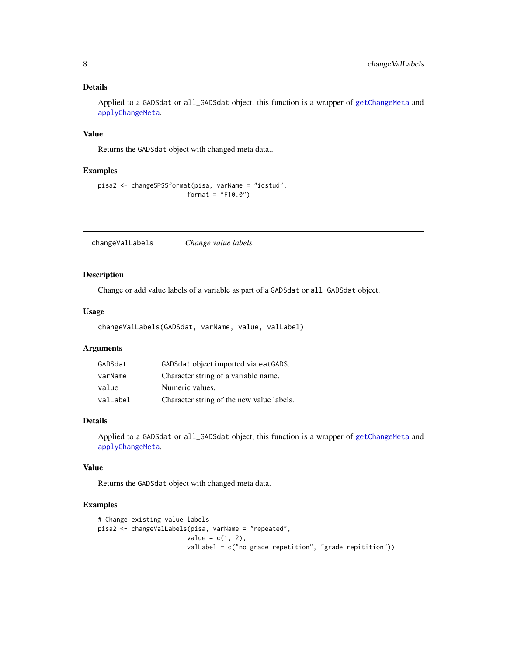## <span id="page-7-0"></span>Details

Applied to a GADSdat or all\_GADSdat object, this function is a wrapper of [getChangeMeta](#page-25-1) and [applyChangeMeta](#page-2-2).

## Value

Returns the GADSdat object with changed meta data..

#### Examples

```
pisa2 <- changeSPSSformat(pisa, varName = "idstud",
                        format = "F10.0")
```
changeValLabels *Change value labels.*

## Description

Change or add value labels of a variable as part of a GADSdat or all\_GADSdat object.

#### Usage

changeValLabels(GADSdat, varName, value, valLabel)

## Arguments

| GADSdat  | GADSdat object imported via eatGADS.      |
|----------|-------------------------------------------|
| varName  | Character string of a variable name.      |
| value    | Numeric values.                           |
| valLabel | Character string of the new value labels. |

## Details

Applied to a GADSdat or all\_GADSdat object, this function is a wrapper of [getChangeMeta](#page-25-1) and [applyChangeMeta](#page-2-2).

### Value

Returns the GADSdat object with changed meta data.

```
# Change existing value labels
pisa2 <- changeValLabels(pisa, varName = "repeated",
                       value = c(1, 2),valLabel = c("no grade repetition", "grade repitition"))
```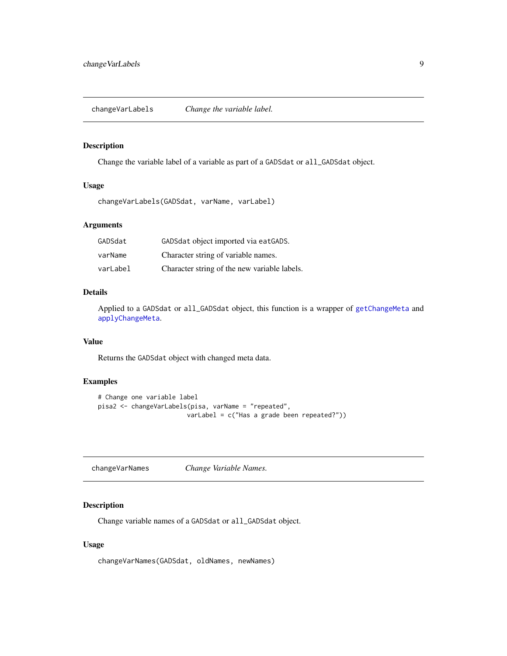<span id="page-8-0"></span>changeVarLabels *Change the variable label.*

## Description

Change the variable label of a variable as part of a GADSdat or all\_GADSdat object.

#### Usage

changeVarLabels(GADSdat, varName, varLabel)

## Arguments

| GADSdat  | GADSdat object imported via eatGADS.         |
|----------|----------------------------------------------|
| varName  | Character string of variable names.          |
| varLabel | Character string of the new variable labels. |

## Details

Applied to a GADSdat or all\_GADSdat object, this function is a wrapper of [getChangeMeta](#page-25-1) and [applyChangeMeta](#page-2-2).

## Value

Returns the GADSdat object with changed meta data.

## Examples

```
# Change one variable label
pisa2 <- changeVarLabels(pisa, varName = "repeated",
                        varLabel = c("Has a grade been repeated?"))
```
changeVarNames *Change Variable Names.*

## Description

Change variable names of a GADSdat or all\_GADSdat object.

## Usage

changeVarNames(GADSdat, oldNames, newNames)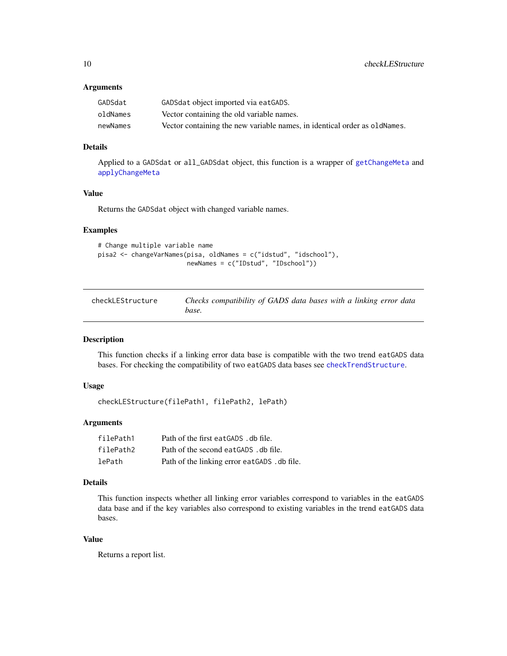#### <span id="page-9-0"></span>Arguments

| GADSdat  | GADSdat object imported via eatGADS.                                      |
|----------|---------------------------------------------------------------------------|
| oldNames | Vector containing the old variable names.                                 |
| newNames | Vector containing the new variable names, in identical order as oldNames. |

## Details

Applied to a GADSdat or all\_GADSdat object, this function is a wrapper of [getChangeMeta](#page-25-1) and [applyChangeMeta](#page-2-2)

## Value

Returns the GADSdat object with changed variable names.

## Examples

```
# Change multiple variable name
pisa2 <- changeVarNames(pisa, oldNames = c("idstud", "idschool"),
                       newNames = c("IDstud", "IDschool"))
```

| checkLEStructure | Checks compatibility of GADS data bases with a linking error data |
|------------------|-------------------------------------------------------------------|
|                  | base.                                                             |

## Description

This function checks if a linking error data base is compatible with the two trend eatGADS data bases. For checking the compatibility of two eatGADS data bases see [checkTrendStructure](#page-11-1).

## Usage

```
checkLEStructure(filePath1, filePath2, lePath)
```
## Arguments

| filePath1 | Path of the first eatGADS . db file.         |
|-----------|----------------------------------------------|
| filePath2 | Path of the second eat GADS . db file.       |
| lePath    | Path of the linking error eatGADS . db file. |

## Details

This function inspects whether all linking error variables correspond to variables in the eatGADS data base and if the key variables also correspond to existing variables in the trend eatGADS data bases.

## Value

Returns a report list.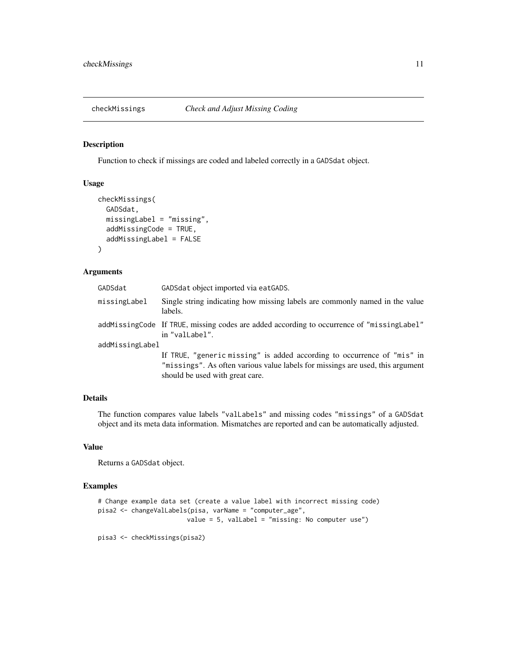<span id="page-10-1"></span><span id="page-10-0"></span>

Function to check if missings are coded and labeled correctly in a GADSdat object.

#### Usage

```
checkMissings(
  GADSdat,
 missingLabel = "missing",
  addMissingCode = TRUE,
  addMissingLabel = FALSE
)
```
#### Arguments

| GADSdat         | GADSdat object imported via eatGADS.                                                                                                                                                         |  |
|-----------------|----------------------------------------------------------------------------------------------------------------------------------------------------------------------------------------------|--|
| missingLabel    | Single string indicating how missing labels are commonly named in the value<br>labels.                                                                                                       |  |
|                 | addMissingCode If TRUE, missing codes are added according to occurrence of "missingLabel"<br>in "valLabel".                                                                                  |  |
| addMissingLabel |                                                                                                                                                                                              |  |
|                 | If TRUE, "generic missing" is added according to occurrence of "mis" in<br>"missings". As often various value labels for missings are used, this argument<br>should be used with great care. |  |

## Details

The function compares value labels "valLabels" and missing codes "missings" of a GADSdat object and its meta data information. Mismatches are reported and can be automatically adjusted.

## Value

Returns a GADSdat object.

```
# Change example data set (create a value label with incorrect missing code)
pisa2 <- changeValLabels(pisa, varName = "computer_age",
                       value = 5, valLabel = "missing: No computer use")
```

```
pisa3 <- checkMissings(pisa2)
```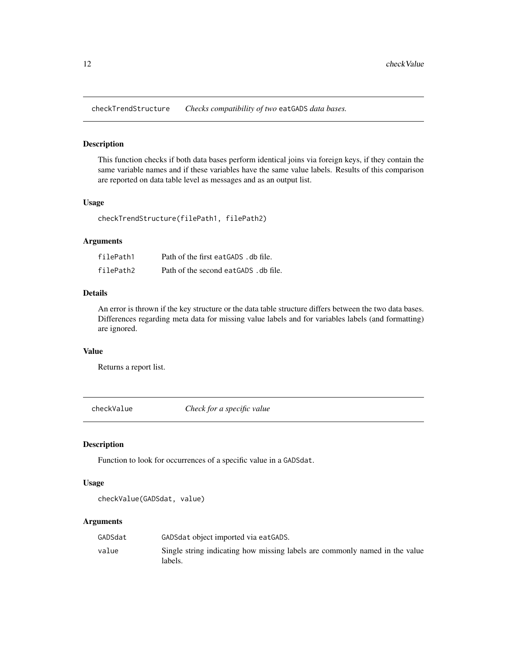<span id="page-11-1"></span><span id="page-11-0"></span>checkTrendStructure *Checks compatibility of two* eatGADS *data bases.*

#### Description

This function checks if both data bases perform identical joins via foreign keys, if they contain the same variable names and if these variables have the same value labels. Results of this comparison are reported on data table level as messages and as an output list.

## Usage

checkTrendStructure(filePath1, filePath2)

## Arguments

| filePath1 | Path of the first eatGADS . db file.  |
|-----------|---------------------------------------|
| filePath2 | Path of the second eatGADS . db file. |

#### Details

An error is thrown if the key structure or the data table structure differs between the two data bases. Differences regarding meta data for missing value labels and for variables labels (and formatting) are ignored.

## Value

Returns a report list.

checkValue *Check for a specific value*

## Description

Function to look for occurrences of a specific value in a GADSdat.

#### Usage

```
checkValue(GADSdat, value)
```
#### Arguments

| GADSdat | GADS dat object imported via eat GADS.                                                 |
|---------|----------------------------------------------------------------------------------------|
| value   | Single string indicating how missing labels are commonly named in the value<br>labels. |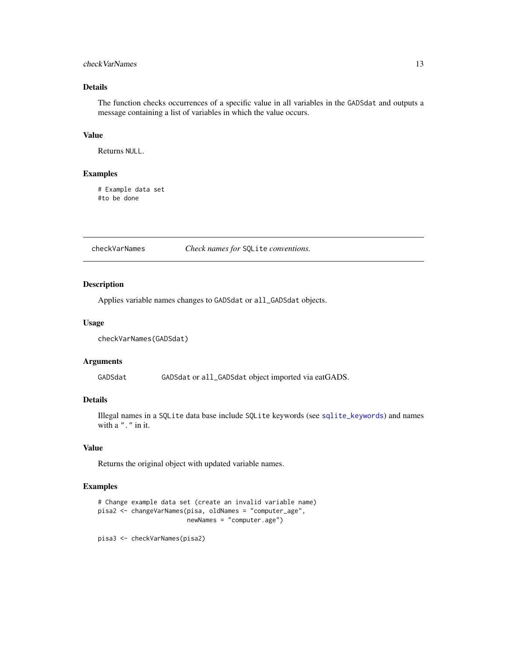## <span id="page-12-0"></span>check VarNames 13

## Details

The function checks occurrences of a specific value in all variables in the GADSdat and outputs a message containing a list of variables in which the value occurs.

#### Value

Returns NULL.

## Examples

# Example data set #to be done

checkVarNames *Check names for* SQLite *conventions.*

#### Description

Applies variable names changes to GADSdat or all\_GADSdat objects.

## Usage

```
checkVarNames(GADSdat)
```
#### Arguments

GADSdat GADSdat or all\_GADSdat object imported via eatGADS.

#### Details

Illegal names in a SQLite data base include SQLite keywords (see [sqlite\\_keywords](#page-0-0)) and names with a "." in it.

#### Value

Returns the original object with updated variable names.

```
# Change example data set (create an invalid variable name)
pisa2 <- changeVarNames(pisa, oldNames = "computer_age",
                        newNames = "computer.age")
```

```
pisa3 <- checkVarNames(pisa2)
```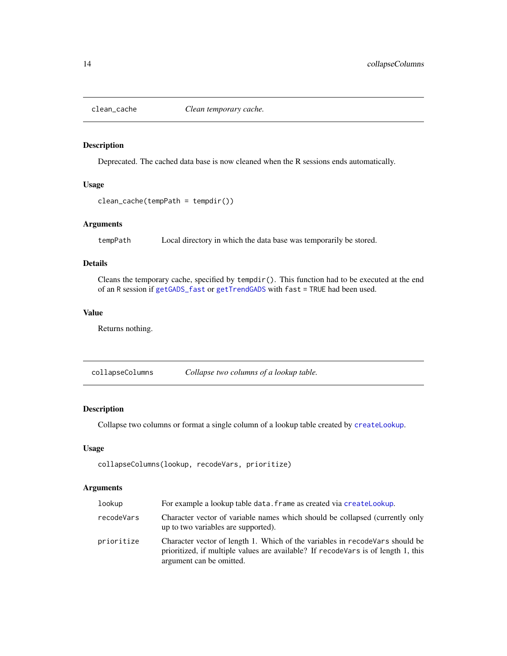<span id="page-13-0"></span>

Deprecated. The cached data base is now cleaned when the R sessions ends automatically.

## Usage

```
clean_cache(tempPath = tempdir())
```
## Arguments

tempPath Local directory in which the data base was temporarily be stored.

## Details

Cleans the temporary cache, specified by  $tempdir()$ . This function had to be executed at the end of an R session if [getGADS\\_fast](#page-27-1) or [getTrendGADS](#page-28-1) with fast = TRUE had been used.

## Value

Returns nothing.

<span id="page-13-1"></span>collapseColumns *Collapse two columns of a lookup table.*

## Description

Collapse two columns or format a single column of a lookup table created by [createLookup](#page-19-1).

## Usage

```
collapseColumns(lookup, recodeVars, prioritize)
```
## Arguments

| lookup     | For example a lookup table data. frame as created via createLookup.                                                                                                                             |
|------------|-------------------------------------------------------------------------------------------------------------------------------------------------------------------------------------------------|
| recodeVars | Character vector of variable names which should be collapsed (currently only<br>up to two variables are supported).                                                                             |
| prioritize | Character vector of length 1. Which of the variables in recode Vars should be<br>prioritized, if multiple values are available? If recode Vars is of length 1, this<br>argument can be omitted. |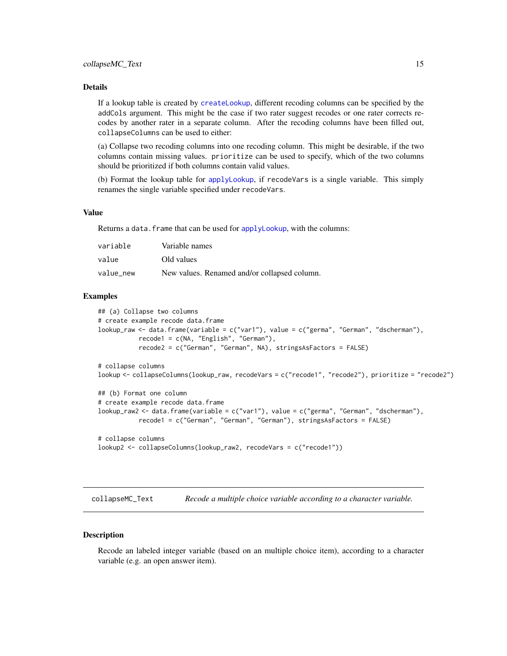## <span id="page-14-0"></span>Details

If a lookup table is created by [createLookup](#page-19-1), different recoding columns can be specified by the addCols argument. This might be the case if two rater suggest recodes or one rater corrects recodes by another rater in a separate column. After the recoding columns have been filled out, collapseColumns can be used to either:

(a) Collapse two recoding columns into one recoding column. This might be desirable, if the two columns contain missing values. prioritize can be used to specify, which of the two columns should be prioritized if both columns contain valid values.

(b) Format the lookup table for [applyLookup](#page-2-1), if recodeVars is a single variable. This simply renames the single variable specified under recodeVars.

#### Value

Returns a data. frame that can be used for [applyLookup](#page-2-1), with the columns:

| variable  | Variable names                               |
|-----------|----------------------------------------------|
| value     | Old values                                   |
| value new | New values. Renamed and/or collapsed column. |

#### Examples

```
## (a) Collapse two columns
# create example recode data.frame
lookup_raw <- data.frame(variable = c("var1"), value = c("germa", "German", "dscherman"),
           recode1 = c(NA, "English", "German"),
           recode2 = c("German", "German", NA), stringsAsFactors = FALSE)
# collapse columns
lookup <- collapseColumns(lookup_raw, recodeVars = c("recode1", "recode2"), prioritize = "recode2")
## (b) Format one column
# create example recode data.frame
lookup_raw2 <- data.frame(variable = c("var1"), value = c("germa", "German", "dscherman"),
           recode1 = c("German", "German", "German"), stringsAsFactors = FALSE)
# collapse columns
```

```
lookup2 <- collapseColumns(lookup_raw2, recodeVars = c("recode1"))
```
collapseMC\_Text *Recode a multiple choice variable according to a character variable.*

#### **Description**

Recode an labeled integer variable (based on an multiple choice item), according to a character variable (e.g. an open answer item).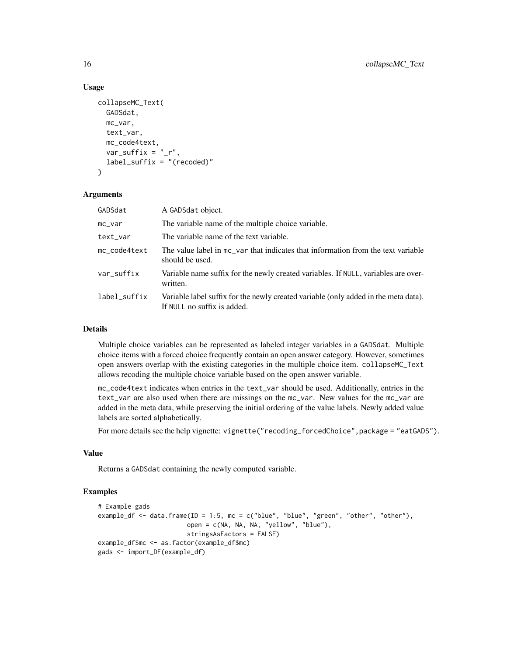## Usage

```
collapseMC_Text(
  GADSdat,
  mc_var,
  text_var,
  mc_code4text,
  var_suffix = "_r",
  label_suffix = "(recoded)"
)
```
#### Arguments

| GADSdat      | A GADSdat object.                                                                                                  |
|--------------|--------------------------------------------------------------------------------------------------------------------|
| mc_var       | The variable name of the multiple choice variable.                                                                 |
| text_var     | The variable name of the text variable.                                                                            |
| mc_code4text | The value label in mc_var that indicates that information from the text variable<br>should be used.                |
| var_suffix   | Variable name suffix for the newly created variables. If NULL, variables are over-<br>written.                     |
| label_suffix | Variable label suffix for the newly created variable (only added in the meta data).<br>If NULL no suffix is added. |

## Details

Multiple choice variables can be represented as labeled integer variables in a GADSdat. Multiple choice items with a forced choice frequently contain an open answer category. However, sometimes open answers overlap with the existing categories in the multiple choice item. collapseMC\_Text allows recoding the multiple choice variable based on the open answer variable.

mc\_code4text indicates when entries in the text\_var should be used. Additionally, entries in the text\_var are also used when there are missings on the mc\_var. New values for the mc\_var are added in the meta data, while preserving the initial ordering of the value labels. Newly added value labels are sorted alphabetically.

For more details see the help vignette: vignette("recoding\_forcedChoice", package = "eatGADS").

## Value

Returns a GADSdat containing the newly computed variable.

```
# Example gads
example_df <- data.frame(ID = 1:5, mc = c("blue", "blue", "green", "other", "other"),
                        open = c(NA, NA, NA, "yellow", "blue"),
                        stringsAsFactors = FALSE)
example_df$mc <- as.factor(example_df$mc)
gads <- import_DF(example_df)
```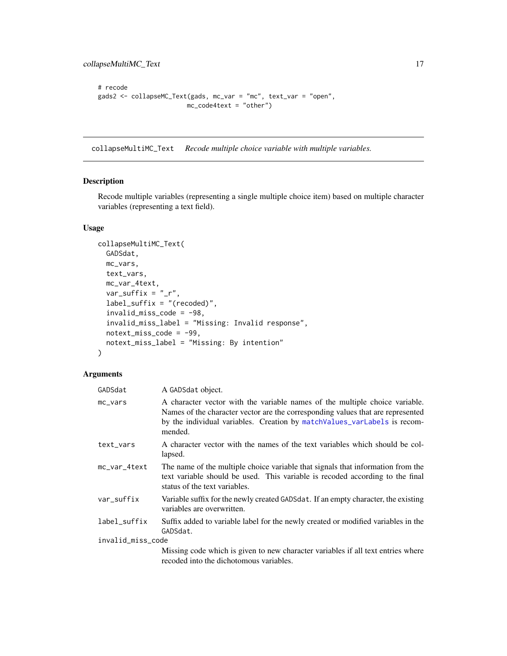```
# recode
gads2 <- collapseMC_Text(gads, mc_var = "mc", text_var = "open",
                        mc_code4text = "other")
```
<span id="page-16-1"></span>collapseMultiMC\_Text *Recode multiple choice variable with multiple variables.*

#### Description

Recode multiple variables (representing a single multiple choice item) based on multiple character variables (representing a text field).

## Usage

```
collapseMultiMC_Text(
 GADSdat,
 mc_vars,
 text_vars,
 mc_var_4text,
  var_suffix = "_r",
  label_suffix = "(recoded)",
  invald_miss\_code = -98,
  invalid_miss_label = "Missing: Invalid response",
 notext\_miss\_code = -99,
 notext_miss_label = "Missing: By intention"
\mathcal{E}
```
## Arguments

| GADSdat           | A GADSdat object.                                                                                                                                                                                                                                      |
|-------------------|--------------------------------------------------------------------------------------------------------------------------------------------------------------------------------------------------------------------------------------------------------|
| mc_vars           | A character vector with the variable names of the multiple choice variable.<br>Names of the character vector are the corresponding values that are represented<br>by the individual variables. Creation by match Values_varLabels is recom-<br>mended. |
| text_vars         | A character vector with the names of the text variables which should be col-<br>lapsed.                                                                                                                                                                |
| mc_var_4text      | The name of the multiple choice variable that signals that information from the<br>text variable should be used. This variable is recoded according to the final<br>status of the text variables.                                                      |
| var_suffix        | Variable suffix for the newly created GADSdat. If an empty character, the existing<br>variables are overwritten.                                                                                                                                       |
| label_suffix      | Suffix added to variable label for the newly created or modified variables in the<br>GADSdat.                                                                                                                                                          |
| invalid_miss_code |                                                                                                                                                                                                                                                        |
|                   | Missing code which is given to new character variables if all text entries where<br>recoded into the dichotomous variables.                                                                                                                            |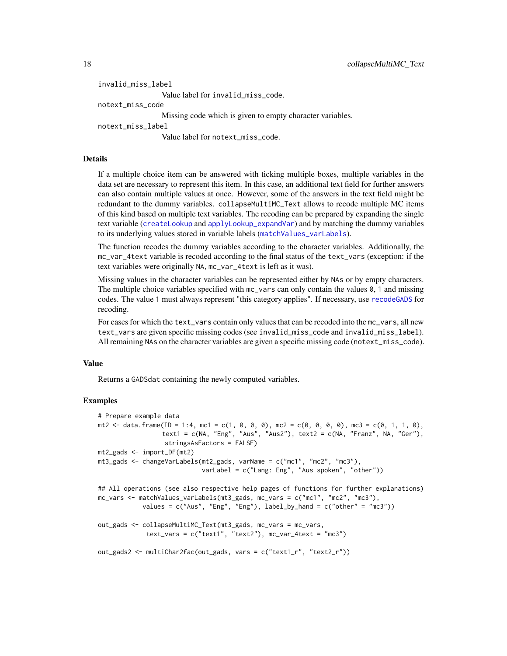```
invalid_miss_label
                 Value label for invalid_miss_code.
notext_miss_code
                 Missing code which is given to empty character variables.
notext_miss_label
                 Value label for notext_miss_code.
```
#### Details

If a multiple choice item can be answered with ticking multiple boxes, multiple variables in the data set are necessary to represent this item. In this case, an additional text field for further answers can also contain multiple values at once. However, some of the answers in the text field might be redundant to the dummy variables. collapseMultiMC\_Text allows to recode multiple MC items of this kind based on multiple text variables. The recoding can be prepared by expanding the single text variable ([createLookup](#page-19-1) and [applyLookup\\_expandVar](#page-4-1)) and by matching the dummy variables to its underlying values stored in variable labels ([matchValues\\_varLabels](#page-35-1)).

The function recodes the dummy variables according to the character variables. Additionally, the mc\_var\_4text variable is recoded according to the final status of the text\_vars (exception: if the text variables were originally NA, mc\_var\_4text is left as it was).

Missing values in the character variables can be represented either by NAs or by empty characters. The multiple choice variables specified with  $mc_\text{vars}$  can only contain the values 0, 1 and missing codes. The value 1 must always represent "this category applies". If necessary, use [recodeGADS](#page-41-1) for recoding.

For cases for which the text\_vars contain only values that can be recoded into the mc\_vars, all new text\_vars are given specific missing codes (see invalid\_miss\_code and invalid\_miss\_label). All remaining NAs on the character variables are given a specific missing code (notext\_miss\_code).

## Value

Returns a GADSdat containing the newly computed variables.

```
# Prepare example data
mt2 <- data.frame(ID = 1:4, mc1 = c(1, 0, 0, 0), mc2 = c(0, 0, 0, 0), mc3 = c(0, 1, 1, 0),
                 text1 = c(NA, "Eng", "Aus", "Aus2"), text2 = c(NA, "Franz", NA, "Ger"),
                 stringsAsFactors = FALSE)
mt2_gads <- import_DF(mt2)
mt3_gads <- changeVarLabels(mt2_gads, varName = c("mc1", "mc2", "mc3"),
                            varLabel = c("Lang: Eng", "Aus spoken", "other"))
## All operations (see also respective help pages of functions for further explanations)
mc_vars <- matchValues_varLabels(mt3_gads, mc_vars = c("mc1", "mc2", "mc3"),
           values = c("Aug", "Eng"), label_by\_hand = c("other" = "mc3"))out_gads <- collapseMultiMC_Text(mt3_gads, mc_vars = mc_vars,
            text_vars = c("text1", "text2"), mc_var_4text2 += "mc3")out_gads2 <- multiChar2fac(out_gads, vars = c("text1_r", "text2_r"))
```
<span id="page-17-0"></span>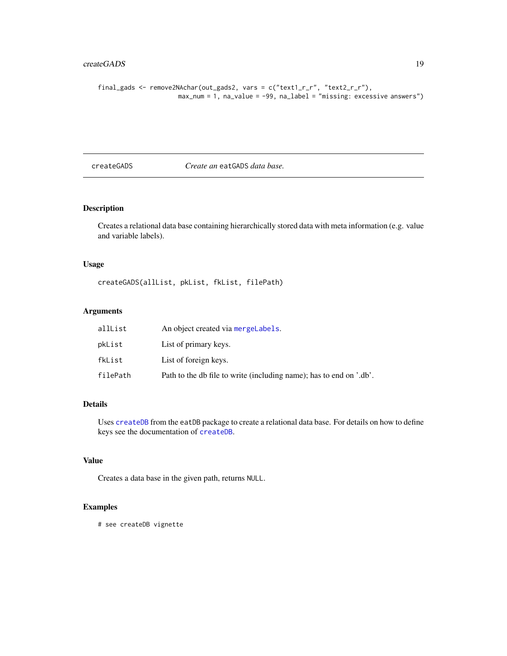## <span id="page-18-0"></span>createGADS 19

```
final_gads <- remove2NAchar(out_gads2, vars = c("text1_r_r", "text2_r_r"),
                     max_num = 1, na_value = -99, na_label = "missing: excessive answers")
```
<span id="page-18-1"></span>createGADS *Create an* eatGADS *data base.*

## Description

Creates a relational data base containing hierarchically stored data with meta information (e.g. value and variable labels).

## Usage

createGADS(allList, pkList, fkList, filePath)

## Arguments

| allList  | An object created via mergelabels.                                  |
|----------|---------------------------------------------------------------------|
| pkList   | List of primary keys.                                               |
| fkList   | List of foreign keys.                                               |
| filePath | Path to the db file to write (including name); has to end on '.db'. |

#### Details

Uses [createDB](#page-0-0) from the eatDB package to create a relational data base. For details on how to define keys see the documentation of [createDB](#page-0-0).

## Value

Creates a data base in the given path, returns NULL.

#### Examples

# see createDB vignette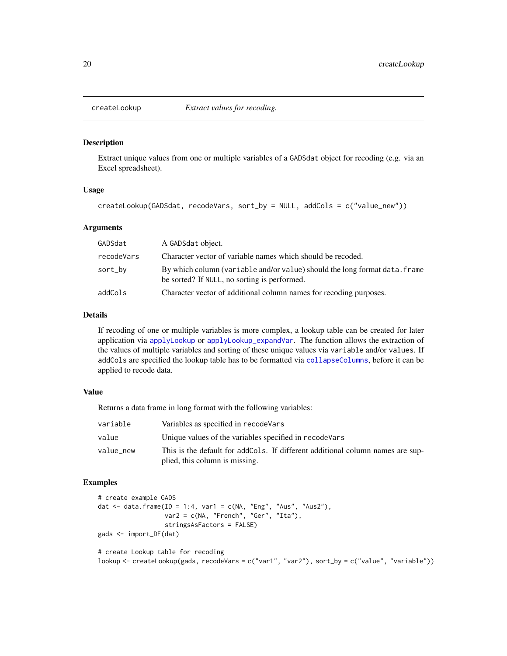<span id="page-19-1"></span><span id="page-19-0"></span>

Extract unique values from one or multiple variables of a GADSdat object for recoding (e.g. via an Excel spreadsheet).

#### Usage

```
createLookup(GADSdat, recodeVars, sort_by = NULL, addCols = c("value_new"))
```
## Arguments

| GADSdat    | A GADSdat object.                                                                                                          |
|------------|----------------------------------------------------------------------------------------------------------------------------|
| recodeVars | Character vector of variable names which should be recoded.                                                                |
| sort_by    | By which column (variable and/or value) should the long format data. frame<br>be sorted? If NULL, no sorting is performed. |
| addCols    | Character vector of additional column names for recoding purposes.                                                         |

## Details

If recoding of one or multiple variables is more complex, a lookup table can be created for later application via [applyLookup](#page-2-1) or [applyLookup\\_expandVar](#page-4-1). The function allows the extraction of the values of multiple variables and sorting of these unique values via variable and/or values. If addCols are specified the lookup table has to be formatted via [collapseColumns](#page-13-1), before it can be applied to recode data.

## Value

Returns a data frame in long format with the following variables:

| variable  | Variables as specified in recode Vars                                                                            |
|-----------|------------------------------------------------------------------------------------------------------------------|
| value     | Unique values of the variables specified in recode Vars                                                          |
| value_new | This is the default for addCols. If different additional column names are sup-<br>plied, this column is missing. |

#### Examples

```
# create example GADS
dat \leq data.frame(ID = 1:4, var1 = c(NA, "Eng", "Aus", "Aus2"),
                  var2 = c(NA, "French", "Ger", "Ita"),stringsAsFactors = FALSE)
gads <- import_DF(dat)
# create Lookup table for recoding
```
lookup <- createLookup(gads, recodeVars = c("var1", "var2"), sort\_by = c("value", "variable"))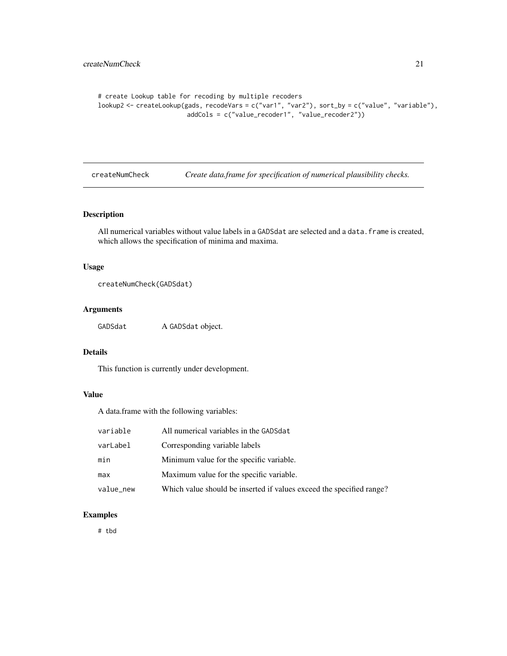```
# create Lookup table for recoding by multiple recoders
lookup2 <- createLookup(gads, recodeVars = c("var1", "var2"), sort_by = c("value", "variable"),
                        addCols = c("value_recoder1", "value_recoder2"))
```
<span id="page-20-1"></span>createNumCheck *Create data.frame for specification of numerical plausibility checks.*

## Description

All numerical variables without value labels in a GADSdat are selected and a data.frame is created, which allows the specification of minima and maxima.

#### Usage

createNumCheck(GADSdat)

## Arguments

GADSdat A GADSdat object.

## Details

This function is currently under development.

#### Value

A data.frame with the following variables:

| variable  | All numerical variables in the GADSdat                               |
|-----------|----------------------------------------------------------------------|
| varLabel  | Corresponding variable labels                                        |
| min       | Minimum value for the specific variable.                             |
| max       | Maximum value for the specific variable.                             |
| value_new | Which value should be inserted if values exceed the specified range? |

## Examples

# tbd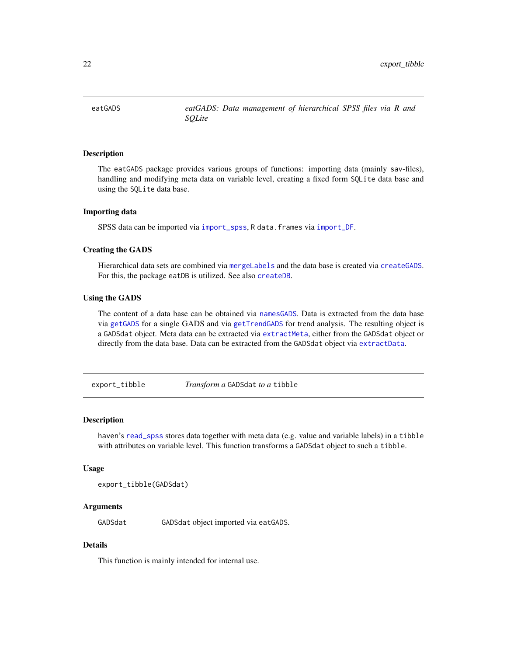<span id="page-21-0"></span>eatGADS *eatGADS: Data management of hierarchical SPSS files via R and SQLite*

## **Description**

The eatGADS package provides various groups of functions: importing data (mainly sav-files), handling and modifying meta data on variable level, creating a fixed form SQLite data base and using the SQLite data base.

#### Importing data

SPSS data can be imported via [import\\_spss](#page-33-1), R data.frames via [import\\_DF](#page-30-1).

## Creating the GADS

Hierarchical data sets are combined via [mergeLabels](#page-37-1) and the data base is created via [createGADS](#page-18-1). For this, the package eatDB is utilized. See also [createDB](#page-0-0).

#### Using the GADS

The content of a data base can be obtained via [namesGADS](#page-39-1). Data is extracted from the data base via [getGADS](#page-26-1) for a single GADS and via [getTrendGADS](#page-28-1) for trend analysis. The resulting object is a GADSdat object. Meta data can be extracted via [extractMeta](#page-24-1), either from the GADSdat object or directly from the data base. Data can be extracted from the GADSdat object via [extractData](#page-22-1).

export\_tibble *Transform a* GADSdat *to a* tibble

## **Description**

haven's [read\\_spss](#page-0-0) stores data together with meta data (e.g. value and variable labels) in a tibble with attributes on variable level. This function transforms a GADSdat object to such a tibble.

#### Usage

```
export_tibble(GADSdat)
```
## Arguments

GADSdat GADSdat object imported via eatGADS.

## **Details**

This function is mainly intended for internal use.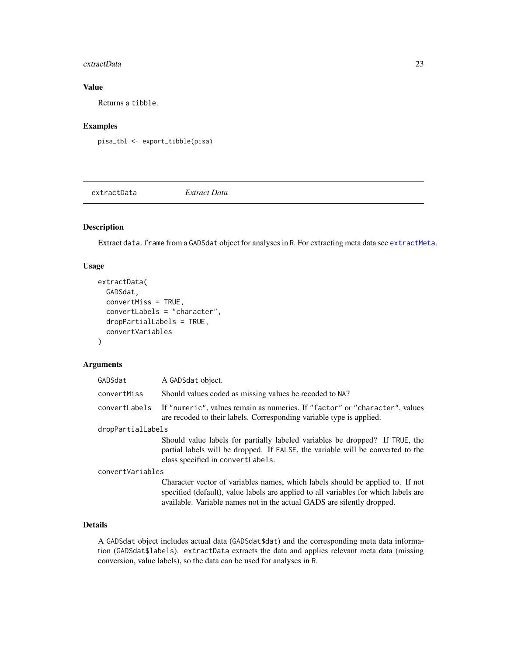#### <span id="page-22-0"></span>extractData 23

## Value

Returns a tibble.

## Examples

pisa\_tbl <- export\_tibble(pisa)

<span id="page-22-1"></span>extractData *Extract Data*

## Description

Extract data. frame from a GADSdat object for analyses in R. For extracting meta data see [extractMeta](#page-24-1).

#### Usage

```
extractData(
  GADSdat,
  convertMiss = TRUE,
  convertLabels = "character",
  dropPartialLabels = TRUE,
  convertVariables
)
```
#### Arguments

| GADSdat           | A GADSdat object.                                                                                                                                                                                    |  |
|-------------------|------------------------------------------------------------------------------------------------------------------------------------------------------------------------------------------------------|--|
| convertMiss       | Should values coded as missing values be recoded to NA?                                                                                                                                              |  |
| convertLabels     | If "numeric", values remain as numerics. If "factor" or "character", values<br>are recoded to their labels. Corresponding variable type is applied.                                                  |  |
| dropPartialLabels |                                                                                                                                                                                                      |  |
|                   | Should value labels for partially labeled variables be dropped? If TRUE, the<br>partial labels will be dropped. If FALSE, the variable will be converted to the<br>class specified in convertLabels. |  |
| convertVariables  |                                                                                                                                                                                                      |  |
|                   | Character vector of variables names, which labels should be applied to. If not                                                                                                                       |  |

specified (default), value labels are applied to all variables for which labels are available. Variable names not in the actual GADS are silently dropped.

## Details

A GADSdat object includes actual data (GADSdat\$dat) and the corresponding meta data information (GADSdat\$labels). extractData extracts the data and applies relevant meta data (missing conversion, value labels), so the data can be used for analyses in R.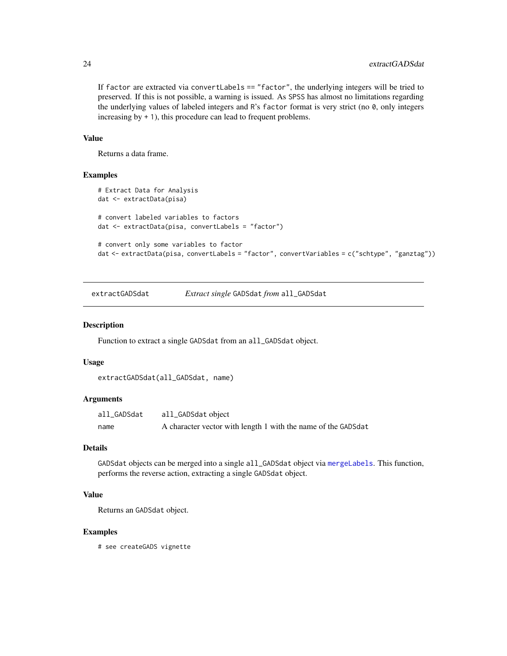If factor are extracted via convertLabels == "factor", the underlying integers will be tried to preserved. If this is not possible, a warning is issued. As SPSS has almost no limitations regarding the underlying values of labeled integers and R's factor format is very strict (no 0, only integers increasing by + 1), this procedure can lead to frequent problems.

## Value

Returns a data frame.

#### Examples

```
# Extract Data for Analysis
dat <- extractData(pisa)
# convert labeled variables to factors
dat <- extractData(pisa, convertLabels = "factor")
# convert only some variables to factor
dat <- extractData(pisa, convertLabels = "factor", convertVariables = c("schtype", "ganztag"))
```
extractGADSdat *Extract single* GADSdat *from* all\_GADSdat

#### Description

Function to extract a single GADSdat from an all\_GADSdat object.

#### Usage

```
extractGADSdat(all_GADSdat, name)
```
## Arguments

| all_GADSdat | all_GADSdat object                                            |
|-------------|---------------------------------------------------------------|
| name        | A character vector with length 1 with the name of the GADSdat |

#### Details

GADSdat objects can be merged into a single all\_GADSdat object via [mergeLabels](#page-37-1). This function, performs the reverse action, extracting a single GADSdat object.

## Value

Returns an GADSdat object.

#### Examples

# see createGADS vignette

<span id="page-23-0"></span>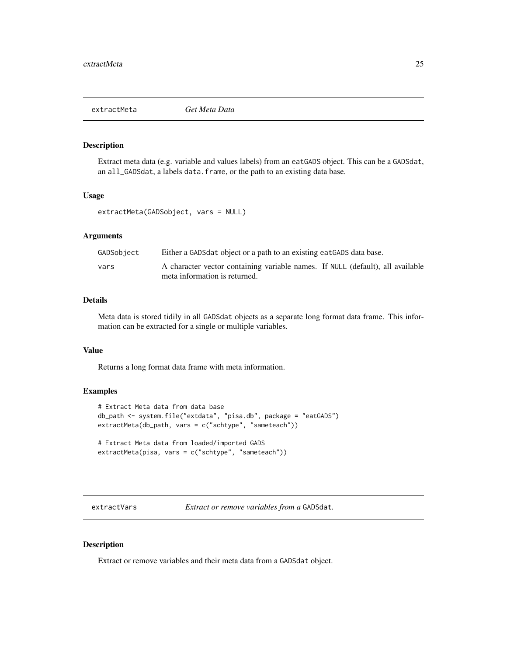<span id="page-24-1"></span><span id="page-24-0"></span>

Extract meta data (e.g. variable and values labels) from an eatGADS object. This can be a GADSdat, an all\_GADSdat, a labels data.frame, or the path to an existing data base.

## Usage

```
extractMeta(GADSobject, vars = NULL)
```
#### Arguments

| GADSobject | Either a GADS data object or a path to an existing eat GADS data base.                                          |
|------------|-----------------------------------------------------------------------------------------------------------------|
| vars       | A character vector containing variable names. If NULL (default), all available<br>meta information is returned. |

## Details

Meta data is stored tidily in all GADSdat objects as a separate long format data frame. This information can be extracted for a single or multiple variables.

# Value

Returns a long format data frame with meta information.

## Examples

```
# Extract Meta data from data base
db_path <- system.file("extdata", "pisa.db", package = "eatGADS")
extractMeta(db_path, vars = c("schtype", "sameteach"))
```

```
# Extract Meta data from loaded/imported GADS
extractMeta(pisa, vars = c("schtype", "sameteach"))
```
extractVars *Extract or remove variables from a* GADSdat*.*

## Description

Extract or remove variables and their meta data from a GADSdat object.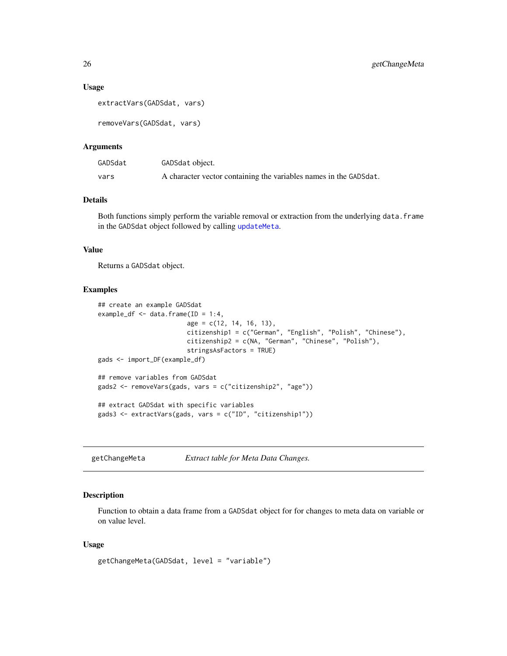#### <span id="page-25-0"></span>Usage

```
extractVars(GADSdat, vars)
```
removeVars(GADSdat, vars)

#### Arguments

| GADSdat | GADSdat object.                                                   |
|---------|-------------------------------------------------------------------|
| vars    | A character vector containing the variables names in the GADSdat. |

## Details

Both functions simply perform the variable removal or extraction from the underlying data.frame in the GADSdat object followed by calling [updateMeta](#page-47-1).

#### Value

Returns a GADSdat object.

#### Examples

```
## create an example GADSdat
example_df <- data.frame(ID = 1:4,
                        age = c(12, 14, 16, 13),
                        citizenship1 = c("German", "English", "Polish", "Chinese"),
                        citizenship2 = c(NA, "German", "Chinese", "Polish"),
                        stringsAsFactors = TRUE)
gads <- import_DF(example_df)
## remove variables from GADSdat
gads2 <- removeVars(gads, vars = c("citizenship2", "age"))
## extract GADSdat with specific variables
gads3 <- extractVars(gads, vars = c("ID", "citizenship1"))
```
<span id="page-25-1"></span>getChangeMeta *Extract table for Meta Data Changes.*

## Description

Function to obtain a data frame from a GADSdat object for for changes to meta data on variable or on value level.

#### Usage

```
getChangeMeta(GADSdat, level = "variable")
```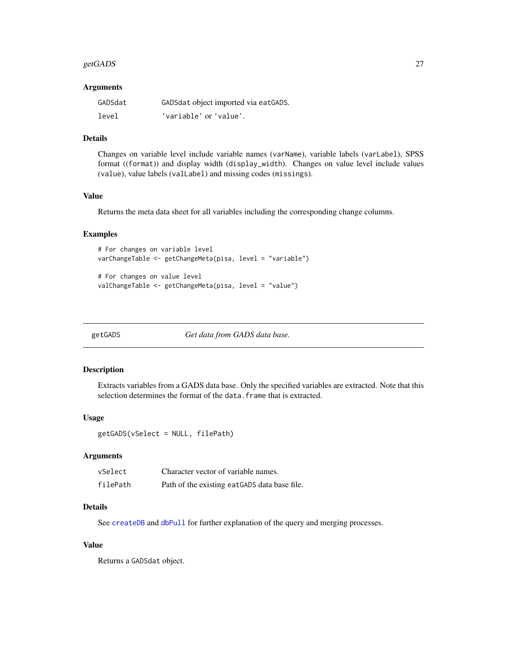#### <span id="page-26-0"></span>getGADS 27

#### **Arguments**

| GADSdat | GADSdat object imported via eatGADS. |
|---------|--------------------------------------|
| level   | 'variable' or 'value'.               |

## Details

Changes on variable level include variable names (varName), variable labels (varLabel), SPSS format ((format)) and display width (display\_width). Changes on value level include values (value), value labels (valLabel) and missing codes (missings).

## Value

Returns the meta data sheet for all variables including the corresponding change columns.

#### Examples

```
# For changes on variable level
varChangeTable <- getChangeMeta(pisa, level = "variable")
```

```
# For changes on value level
valChangeTable <- getChangeMeta(pisa, level = "value")
```
<span id="page-26-1"></span>getGADS *Get data from GADS data base.*

## Description

Extracts variables from a GADS data base. Only the specified variables are extracted. Note that this selection determines the format of the data. frame that is extracted.

#### Usage

getGADS(vSelect = NULL, filePath)

#### Arguments

| vSelect  | Character vector of variable names.           |
|----------|-----------------------------------------------|
| filePath | Path of the existing eat GADS data base file. |

#### Details

See [createDB](#page-0-0) and [dbPull](#page-0-0) for further explanation of the query and merging processes.

## Value

Returns a GADSdat object.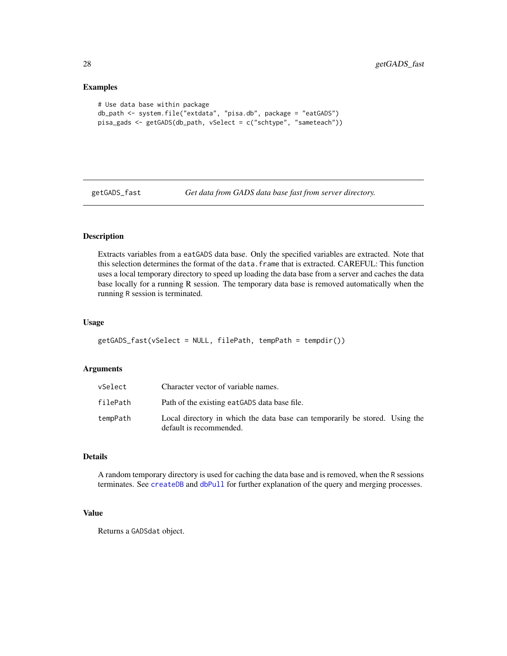#### Examples

```
# Use data base within package
db_path <- system.file("extdata", "pisa.db", package = "eatGADS")
pisa_gads <- getGADS(db_path, vSelect = c("schtype", "sameteach"))
```
<span id="page-27-1"></span>

getGADS\_fast *Get data from GADS data base fast from server directory.*

## Description

Extracts variables from a eatGADS data base. Only the specified variables are extracted. Note that this selection determines the format of the data.frame that is extracted. CAREFUL: This function uses a local temporary directory to speed up loading the data base from a server and caches the data base locally for a running R session. The temporary data base is removed automatically when the running R session is terminated.

#### Usage

```
getGADS_fast(vSelect = NULL, filePath, tempPath = tempdir())
```
## Arguments

| vSelect  | Character vector of variable names.                                                                    |  |
|----------|--------------------------------------------------------------------------------------------------------|--|
| filePath | Path of the existing eatGADS data base file.                                                           |  |
| tempPath | Local directory in which the data base can temporarily be stored. Using the<br>default is recommended. |  |

## Details

A random temporary directory is used for caching the data base and is removed, when the R sessions terminates. See [createDB](#page-0-0) and [dbPull](#page-0-0) for further explanation of the query and merging processes.

#### Value

Returns a GADSdat object.

<span id="page-27-0"></span>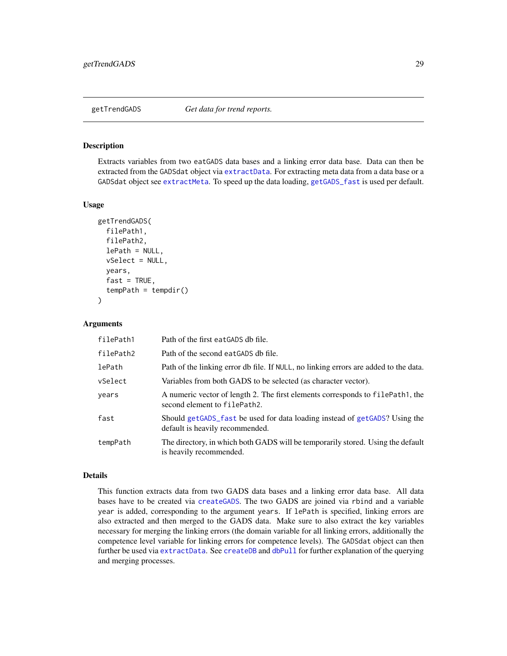<span id="page-28-1"></span><span id="page-28-0"></span>

Extracts variables from two eatGADS data bases and a linking error data base. Data can then be extracted from the GADSdat object via [extractData](#page-22-1). For extracting meta data from a data base or a GADSdat object see [extractMeta](#page-24-1). To speed up the data loading, [getGADS\\_fast](#page-27-1) is used per default.

#### Usage

```
getTrendGADS(
  filePath1,
  filePath2,
  lePath = NULL,vSelect = NULL,
  years,
  fast = TRUE,tempPath = tempdir())
```
#### **Arguments**

| filePath1 | Path of the first eatGADS db file.                                                                             |
|-----------|----------------------------------------------------------------------------------------------------------------|
| filePath2 | Path of the second eatGADS db file.                                                                            |
| lePath    | Path of the linking error db file. If NULL, no linking errors are added to the data.                           |
| vSelect   | Variables from both GADS to be selected (as character vector).                                                 |
| vears     | A numeric vector of length 2. The first elements corresponds to filePath1, the<br>second element to filePath2. |
| fast      | Should getGADS fast be used for data loading instead of getGADS? Using the<br>default is heavily recommended.  |
| tempPath  | The directory, in which both GADS will be temporarily stored. Using the default<br>is heavily recommended.     |

## Details

This function extracts data from two GADS data bases and a linking error data base. All data bases have to be created via [createGADS](#page-18-1). The two GADS are joined via rbind and a variable year is added, corresponding to the argument years. If lePath is specified, linking errors are also extracted and then merged to the GADS data. Make sure to also extract the key variables necessary for merging the linking errors (the domain variable for all linking errors, additionally the competence level variable for linking errors for competence levels). The GADSdat object can then further be used via [extractData](#page-22-1). See [createDB](#page-0-0) and [dbPull](#page-0-0) for further explanation of the querying and merging processes.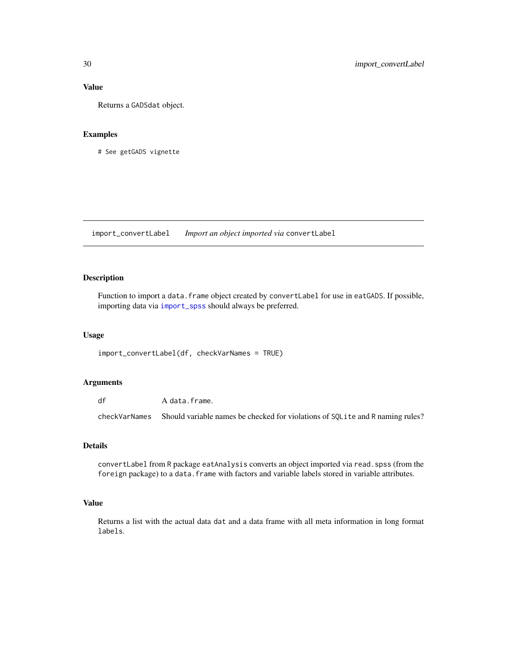## Value

Returns a GADSdat object.

#### Examples

# See getGADS vignette

import\_convertLabel *Import an object imported via* convertLabel

## Description

Function to import a data. frame object created by convertLabel for use in eatGADS. If possible, importing data via [import\\_spss](#page-33-1) should always be preferred.

#### Usage

import\_convertLabel(df, checkVarNames = TRUE)

## Arguments

df A data.frame. checkVarNames Should variable names be checked for violations of SQLite and R naming rules?

## Details

convertLabel from R package eatAnalysis converts an object imported via read.spss (from the foreign package) to a data.frame with factors and variable labels stored in variable attributes.

#### Value

Returns a list with the actual data dat and a data frame with all meta information in long format labels.

<span id="page-29-0"></span>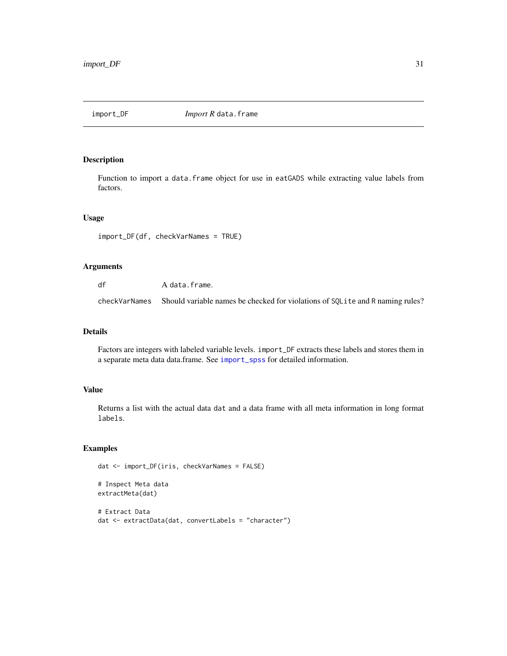<span id="page-30-1"></span><span id="page-30-0"></span>

Function to import a data. frame object for use in eatGADS while extracting value labels from factors.

## Usage

```
import_DF(df, checkVarNames = TRUE)
```
## Arguments

df A data.frame. checkVarNames Should variable names be checked for violations of SQLite and R naming rules?

#### Details

Factors are integers with labeled variable levels. import\_DF extracts these labels and stores them in a separate meta data data.frame. See [import\\_spss](#page-33-1) for detailed information.

## Value

Returns a list with the actual data dat and a data frame with all meta information in long format labels.

```
dat <- import_DF(iris, checkVarNames = FALSE)
# Inspect Meta data
extractMeta(dat)
# Extract Data
dat <- extractData(dat, convertLabels = "character")
```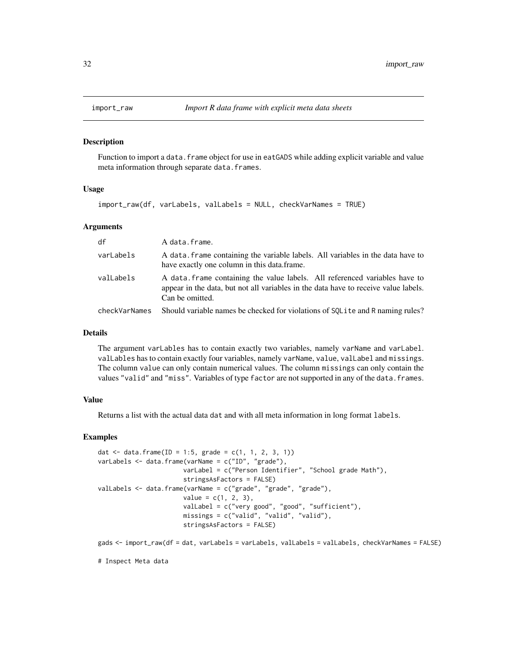<span id="page-31-1"></span><span id="page-31-0"></span>

Function to import a data. frame object for use in eatGADS while adding explicit variable and value meta information through separate data.frames.

#### Usage

import\_raw(df, varLabels, valLabels = NULL, checkVarNames = TRUE)

#### Arguments

| df            | A data.frame.                                                                                                                                                                        |
|---------------|--------------------------------------------------------------------------------------------------------------------------------------------------------------------------------------|
| varLabels     | A data frame containing the variable labels. All variables in the data have to<br>have exactly one column in this data.frame.                                                        |
| valLabels     | A data frame containing the value labels. All referenced variables have to<br>appear in the data, but not all variables in the data have to receive value labels.<br>Can be omitted. |
| checkVarNames | Should variable names be checked for violations of SQLite and R naming rules?                                                                                                        |

## Details

The argument varLables has to contain exactly two variables, namely varName and varLabel. valLables has to contain exactly four variables, namely varName, value, valLabel and missings. The column value can only contain numerical values. The column missings can only contain the values "valid" and "miss". Variables of type factor are not supported in any of the data.frames.

#### Value

Returns a list with the actual data dat and with all meta information in long format labels.

#### Examples

```
dat \le data.frame(ID = 1:5, grade = c(1, 1, 2, 3, 1))
varLabels <- data.frame(varName = c("ID", "grade"),
                       varLabel = c("Person Identifier", "School grade Math"),
                       stringsAsFactors = FALSE)
valLabels <- data.frame(varName = c("grade", "grade", "grade"),
                       value = c(1, 2, 3),valLabel = c("very good", "good", "sufficient"),
                       missings = c("valid", "valid", "valid"),
                       stringsAsFactors = FALSE)
```
gads <- import\_raw(df = dat, varLabels = varLabels, valLabels = valLabels, checkVarNames = FALSE)

# Inspect Meta data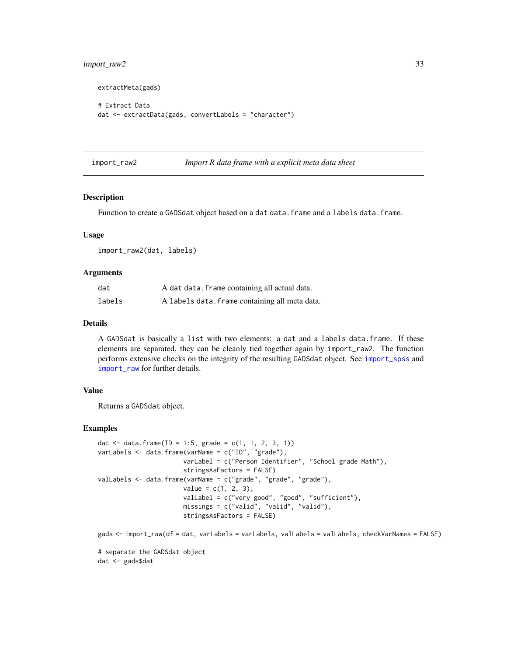## <span id="page-32-0"></span>import\_raw2 33

```
extractMeta(gads)
# Extract Data
dat <- extractData(gads, convertLabels = "character")
```

```
import_raw2 Import R data frame with a explicit meta data sheet
```
#### Description

Function to create a GADSdat object based on a dat data.frame and a labels data.frame.

#### Usage

import\_raw2(dat, labels)

#### Arguments

| dat    | A dat data. frame containing all actual data.  |
|--------|------------------------------------------------|
| labels | A labels data. frame containing all meta data. |

## Details

A GADSdat is basically a list with two elements: a dat and a labels data.frame. If these elements are separated, they can be cleanly tied together again by import\_raw2. The function performs extensive checks on the integrity of the resulting GADSdat object. See [import\\_spss](#page-33-1) and [import\\_raw](#page-31-1) for further details.

## Value

Returns a GADSdat object.

```
dat <- data.frame(ID = 1:5, grade = c(1, 1, 2, 3, 1))
varLabels <- data.frame(varName = c("ID", "grade"),
                       varLabel = c("Person Identifier", "School grade Math"),
                       stringsAsFactors = FALSE)
valLabels <- data.frame(varName = c("grade", "grade", "grade"),
                       value = c(1, 2, 3),valLabel = c("very good", "good", "sufficient"),
                       missings = c("valid", "valid", "valid"),
                       stringsAsFactors = FALSE)
gads <- import_raw(df = dat, varLabels = varLabels, valLabels = valLabels, checkVarNames = FALSE)
# separate the GADSdat object
dat <- gads$dat
```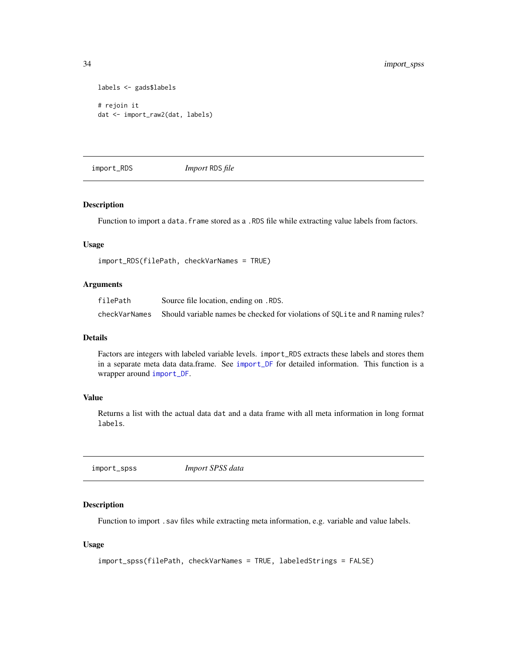```
labels <- gads$labels
# rejoin it
dat <- import_raw2(dat, labels)
```
import\_RDS *Import* RDS *file*

## Description

Function to import a data.frame stored as a .RDS file while extracting value labels from factors.

#### Usage

```
import_RDS(filePath, checkVarNames = TRUE)
```
#### Arguments

| filePath      | Source file location, ending on . RDS.                                         |
|---------------|--------------------------------------------------------------------------------|
| checkVarNames | Should variable names be checked for violations of SQL ite and R naming rules? |

## Details

Factors are integers with labeled variable levels. import\_RDS extracts these labels and stores them in a separate meta data data.frame. See [import\\_DF](#page-30-1) for detailed information. This function is a wrapper around [import\\_DF](#page-30-1).

## Value

Returns a list with the actual data dat and a data frame with all meta information in long format labels.

<span id="page-33-1"></span>import\_spss *Import SPSS data*

## Description

Function to import . sav files while extracting meta information, e.g. variable and value labels.

#### Usage

```
import_spss(filePath, checkVarNames = TRUE, labeledStrings = FALSE)
```
<span id="page-33-0"></span>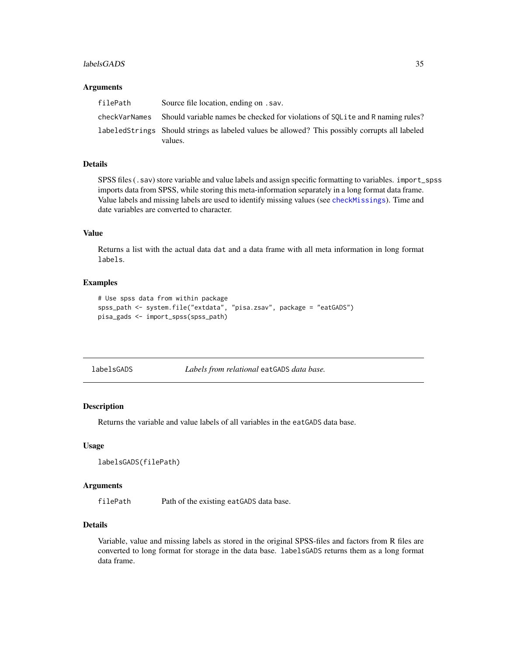#### <span id="page-34-0"></span>labelsGADS 35

#### **Arguments**

| filePath      | Source file location, ending on . sav.                                                         |
|---------------|------------------------------------------------------------------------------------------------|
| checkVarNames | Should variable names be checked for violations of SOL it and R naming rules?                  |
|               | labeledStrings Should strings as labeled values be allowed? This possibly corrupts all labeled |
|               | values.                                                                                        |

## Details

SPSS files (.sav) store variable and value labels and assign specific formatting to variables. import\_spss imports data from SPSS, while storing this meta-information separately in a long format data frame. Value labels and missing labels are used to identify missing values (see [checkMissings](#page-10-1)). Time and date variables are converted to character.

## Value

Returns a list with the actual data dat and a data frame with all meta information in long format labels.

## Examples

```
# Use spss data from within package
spss_path <- system.file("extdata", "pisa.zsav", package = "eatGADS")
pisa_gads <- import_spss(spss_path)
```
labelsGADS *Labels from relational* eatGADS *data base.*

## Description

Returns the variable and value labels of all variables in the eatGADS data base.

#### Usage

```
labelsGADS(filePath)
```
## Arguments

filePath Path of the existing eatGADS data base.

## Details

Variable, value and missing labels as stored in the original SPSS-files and factors from R files are converted to long format for storage in the data base. labelsGADS returns them as a long format data frame.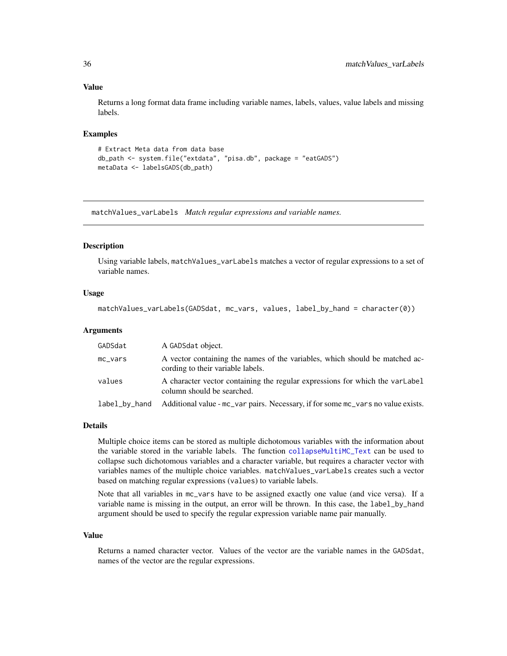## Value

Returns a long format data frame including variable names, labels, values, value labels and missing labels.

#### Examples

```
# Extract Meta data from data base
db_path <- system.file("extdata", "pisa.db", package = "eatGADS")
metaData <- labelsGADS(db_path)
```
<span id="page-35-1"></span>matchValues\_varLabels *Match regular expressions and variable names.*

## **Description**

Using variable labels, matchValues\_varLabels matches a vector of regular expressions to a set of variable names.

#### Usage

```
matchValues_varLabels(GADSdat, mc_vars, values, label_by_hand = character(0))
```
#### Arguments

| GADSdat       | A GADSdat object.                                                                                                |
|---------------|------------------------------------------------------------------------------------------------------------------|
| $mc\_vars$    | A vector containing the names of the variables, which should be matched ac-<br>cording to their variable labels. |
| values        | A character vector containing the regular expressions for which the varlabel<br>column should be searched.       |
| label_by_hand | Additional value - mc_var pairs. Necessary, if for some mc_vars no value exists.                                 |

#### Details

Multiple choice items can be stored as multiple dichotomous variables with the information about the variable stored in the variable labels. The function [collapseMultiMC\\_Text](#page-16-1) can be used to collapse such dichotomous variables and a character variable, but requires a character vector with variables names of the multiple choice variables. matchValues\_varLabels creates such a vector based on matching regular expressions (values) to variable labels.

Note that all variables in mc\_vars have to be assigned exactly one value (and vice versa). If a variable name is missing in the output, an error will be thrown. In this case, the label\_by\_hand argument should be used to specify the regular expression variable name pair manually.

#### Value

Returns a named character vector. Values of the vector are the variable names in the GADSdat, names of the vector are the regular expressions.

<span id="page-35-0"></span>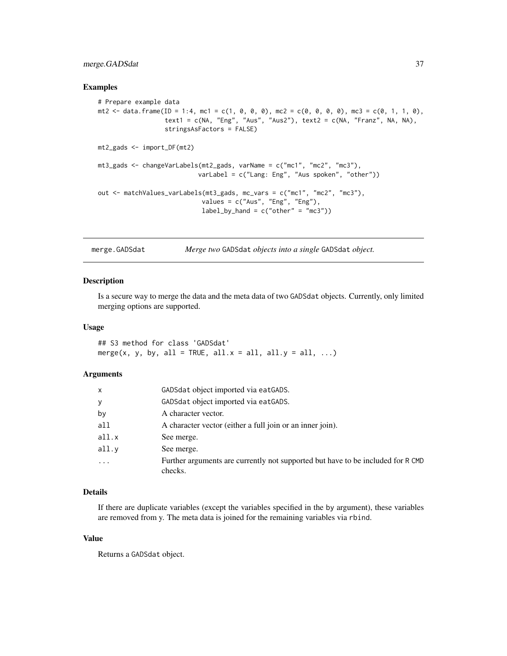## <span id="page-36-0"></span>merge.GADSdat 37

#### Examples

```
# Prepare example data
mt2 <- data.frame(ID = 1:4, mc1 = c(1, 0, 0, 0), mc2 = c(0, 0, 0, 0), mc3 = c(0, 1, 1, 0),
                  text1 = c(NA, "Eng", "Aus", "Aus"), text2 = <math>c(NA, "Franz", NA, NA)</math>,stringsAsFactors = FALSE)
mt2_gads <- import_DF(mt2)
mt3_gads <- changeVarLabels(mt2_gads, varName = c("mc1", "mc2", "mc3"),
                            varLabel = c("Lang: Eng", "Aus spoken", "other"))
out <- matchValues_varLabels(mt3_gads, mc_vars = c("mc1", "mc2", "mc3"),
                            values = c("Aus", "Eng", "Eng"),
                            label_by_hand = c("other" = "mc3"))
```
merge.GADSdat *Merge two* GADSdat *objects into a single* GADSdat *object.*

#### Description

Is a secure way to merge the data and the meta data of two GADSdat objects. Currently, only limited merging options are supported.

#### Usage

## S3 method for class 'GADSdat' merge(x, y, by, all = TRUE, all. $x =$ all, all. $y =$ all, ...)

## **Arguments**

| X     | GADSdat object imported via eatGADS.                                                       |
|-------|--------------------------------------------------------------------------------------------|
| y     | GADSdat object imported via eatGADS.                                                       |
| by    | A character vector.                                                                        |
| all   | A character vector (either a full join or an inner join).                                  |
| all.x | See merge.                                                                                 |
| all.v | See merge.                                                                                 |
|       | Further arguments are currently not supported but have to be included for R CMD<br>checks. |

## Details

If there are duplicate variables (except the variables specified in the by argument), these variables are removed from y. The meta data is joined for the remaining variables via rbind.

#### Value

Returns a GADSdat object.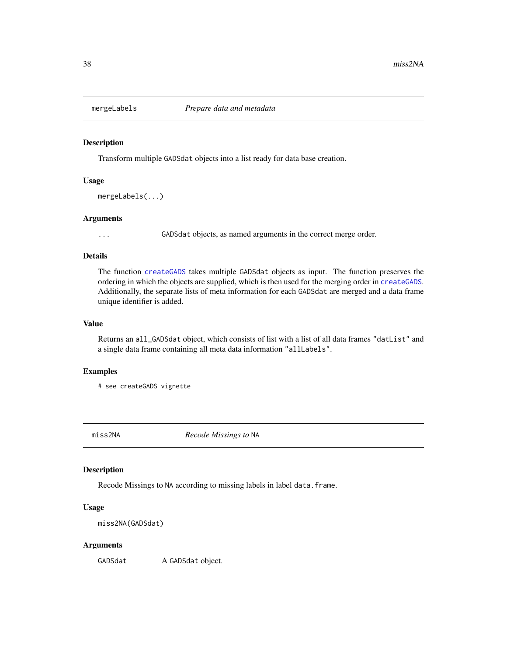<span id="page-37-1"></span><span id="page-37-0"></span>

Transform multiple GADSdat objects into a list ready for data base creation.

## Usage

```
mergeLabels(...)
```
#### Arguments

... GADSdat objects, as named arguments in the correct merge order.

## Details

The function [createGADS](#page-18-1) takes multiple GADSdat objects as input. The function preserves the ordering in which the objects are supplied, which is then used for the merging order in [createGADS](#page-18-1). Additionally, the separate lists of meta information for each GADSdat are merged and a data frame unique identifier is added.

## Value

Returns an all\_GADSdat object, which consists of list with a list of all data frames "datList" and a single data frame containing all meta data information "allLabels".

## Examples

# see createGADS vignette

miss2NA *Recode Missings to* NA

## Description

Recode Missings to NA according to missing labels in label data.frame.

#### Usage

```
miss2NA(GADSdat)
```
#### Arguments

GADSdat A GADSdat object.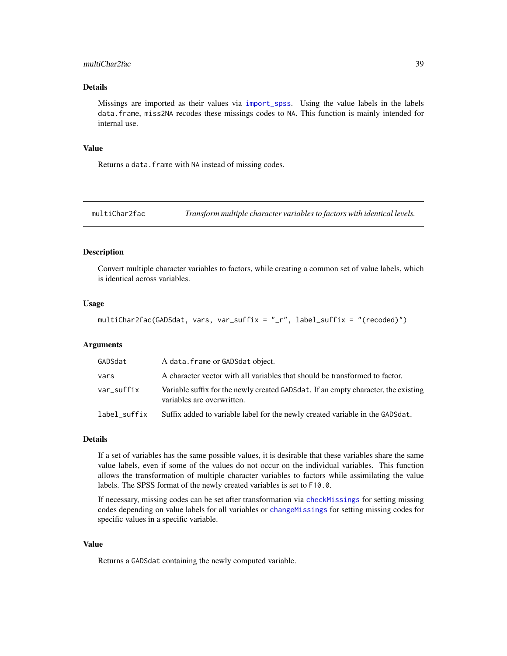## <span id="page-38-0"></span>multiChar2fac 39

## Details

Missings are imported as their values via [import\\_spss](#page-33-1). Using the value labels in the labels data.frame, miss2NA recodes these missings codes to NA. This function is mainly intended for internal use.

#### Value

Returns a data.frame with NA instead of missing codes.

multiChar2fac *Transform multiple character variables to factors with identical levels.*

## Description

Convert multiple character variables to factors, while creating a common set of value labels, which is identical across variables.

#### Usage

multiChar2fac(GADSdat, vars, var\_suffix = "\_r", label\_suffix = "(recoded)")

## Arguments

| GADSdat      | A data. frame or GADSdat object.                                                                                 |
|--------------|------------------------------------------------------------------------------------------------------------------|
| vars         | A character vector with all variables that should be transformed to factor.                                      |
| var_suffix   | Variable suffix for the newly created GADSdat. If an empty character, the existing<br>variables are overwritten. |
| label_suffix | Suffix added to variable label for the newly created variable in the GADSdat.                                    |

#### Details

If a set of variables has the same possible values, it is desirable that these variables share the same value labels, even if some of the values do not occur on the individual variables. This function allows the transformation of multiple character variables to factors while assimilating the value labels. The SPSS format of the newly created variables is set to F10.0.

If necessary, missing codes can be set after transformation via [checkMissings](#page-10-1) for setting missing codes depending on value labels for all variables or [changeMissings](#page-5-1) for setting missing codes for specific values in a specific variable.

#### Value

Returns a GADSdat containing the newly computed variable.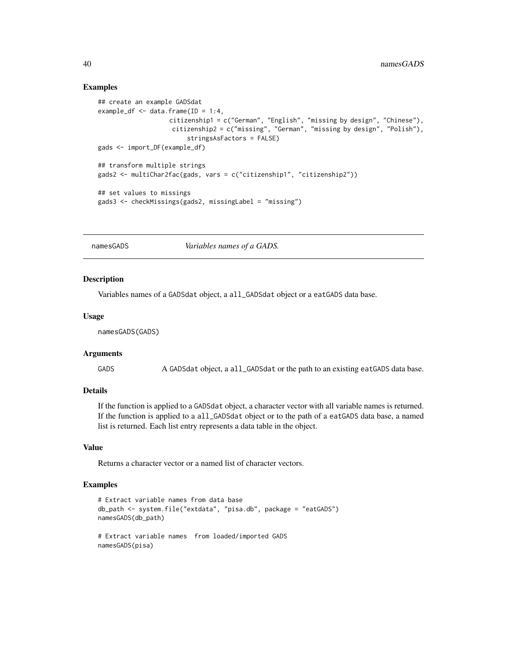## Examples

```
## create an example GADSdat
example_df \leq data.frame(ID = 1:4,
                   citizenship1 = c("German", "English", "missing by design", "Chinese"),
                    citizenship2 = c("missing", "German", "missing by design", "Polish"),
                        stringsAsFactors = FALSE)
gads <- import_DF(example_df)
## transform multiple strings
gads2 <- multiChar2fac(gads, vars = c("citizenship1", "citizenship2"))
## set values to missings
gads3 <- checkMissings(gads2, missingLabel = "missing")
```
<span id="page-39-1"></span>namesGADS *Variables names of a GADS.*

#### Description

Variables names of a GADSdat object, a all\_GADSdat object or a eatGADS data base.

#### Usage

namesGADS(GADS)

#### Arguments

GADS A GADSdat object, a all\_GADSdat or the path to an existing eatGADS data base.

## Details

If the function is applied to a GADSdat object, a character vector with all variable names is returned. If the function is applied to a all\_GADSdat object or to the path of a eatGADS data base, a named list is returned. Each list entry represents a data table in the object.

#### Value

Returns a character vector or a named list of character vectors.

```
# Extract variable names from data base
db_path <- system.file("extdata", "pisa.db", package = "eatGADS")
namesGADS(db_path)
# Extract variable names from loaded/imported GADS
namesGADS(pisa)
```
<span id="page-39-0"></span>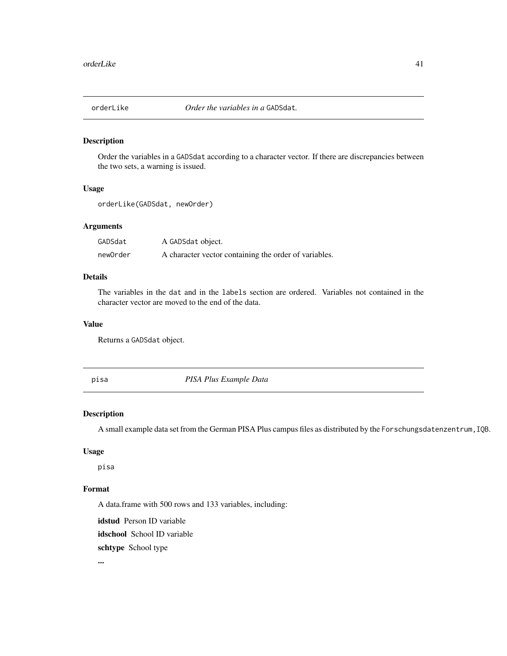<span id="page-40-0"></span>

Order the variables in a GADSdat according to a character vector. If there are discrepancies between the two sets, a warning is issued.

#### Usage

```
orderLike(GADSdat, newOrder)
```
## Arguments

| GADSdat  | A GADSdat object.                                     |
|----------|-------------------------------------------------------|
| newOrder | A character vector containing the order of variables. |

## Details

The variables in the dat and in the labels section are ordered. Variables not contained in the character vector are moved to the end of the data.

## Value

Returns a GADSdat object.

pisa *PISA Plus Example Data*

## Description

A small example data set from the German PISA Plus campus files as distributed by the Forschungsdatenzentrum, IQB.

## Usage

pisa

## Format

A data.frame with 500 rows and 133 variables, including:

idstud Person ID variable

idschool School ID variable

schtype School type

...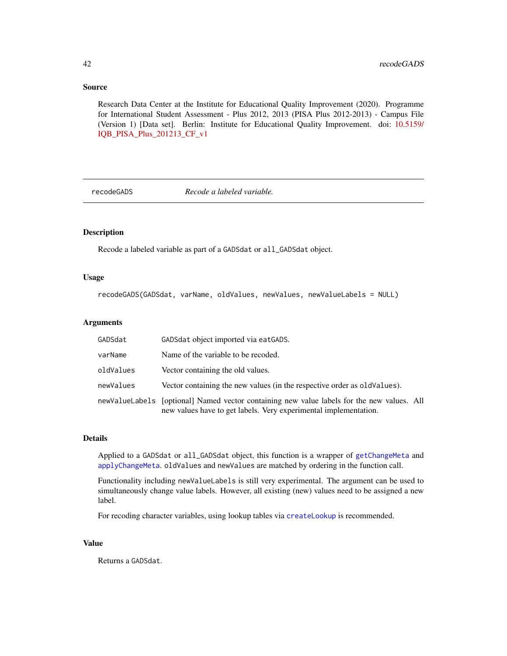#### <span id="page-41-0"></span>Source

Research Data Center at the Institute for Educational Quality Improvement (2020). Programme for International Student Assessment - Plus 2012, 2013 (PISA Plus 2012-2013) - Campus File (Version 1) [Data set]. Berlin: Institute for Educational Quality Improvement. doi: [10.5159/](https://doi.org/10.5159/IQB_PISA_Plus_2012-13_CF_v1) [IQB\\_PISA\\_Plus\\_201213\\_CF\\_v1](https://doi.org/10.5159/IQB_PISA_Plus_2012-13_CF_v1)

<span id="page-41-1"></span>recodeGADS *Recode a labeled variable.*

## Description

Recode a labeled variable as part of a GADSdat or all\_GADSdat object.

#### Usage

recodeGADS(GADSdat, varName, oldValues, newValues, newValueLabels = NULL)

#### Arguments

| GADSdat   | GADSdat object imported via eatGADS.                                                                                                                           |
|-----------|----------------------------------------------------------------------------------------------------------------------------------------------------------------|
| varName   | Name of the variable to be recoded.                                                                                                                            |
| oldValues | Vector containing the old values.                                                                                                                              |
| newValues | Vector containing the new values (in the respective order as old Values).                                                                                      |
|           | newValueLabels [optional] Named vector containing new value labels for the new values. All<br>new values have to get labels. Very experimental implementation. |

## Details

Applied to a GADSdat or all\_GADSdat object, this function is a wrapper of [getChangeMeta](#page-25-1) and [applyChangeMeta](#page-2-2). oldValues and newValues are matched by ordering in the function call.

Functionality including newValueLabels is still very experimental. The argument can be used to simultaneously change value labels. However, all existing (new) values need to be assigned a new label.

For recoding character variables, using lookup tables via [createLookup](#page-19-1) is recommended.

#### Value

Returns a GADSdat.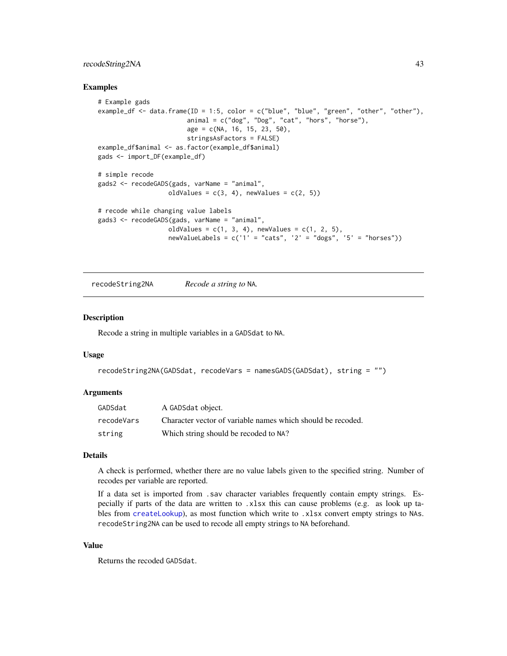## <span id="page-42-0"></span>recodeString2NA 43

#### Examples

```
# Example gads
example_df <- data.frame(ID = 1:5, color = c("blue", "blue", "green", "other", "other"),
                        animal = c("dog", "Dog", "cat", "hors", "horse"),age = c(NA, 16, 15, 23, 50),
                        stringsAsFactors = FALSE)
example_df$animal <- as.factor(example_df$animal)
gads <- import_DF(example_df)
# simple recode
gads2 <- recodeGADS(gads, varName = "animal",
                   oldValues = c(3, 4), newValues = c(2, 5))
# recode while changing value labels
gads3 <- recodeGADS(gads, varName = "animal",
                  oldValues = c(1, 3, 4), newValues = c(1, 2, 5),
                   newValueLabels = c('1' = "cats", '2' = "dogs", '5' = "horses"))
```
recodeString2NA *Recode a string to* NA*.*

#### Description

Recode a string in multiple variables in a GADSdat to NA.

## Usage

```
recodeString2NA(GADSdat, recodeVars = namesGADS(GADSdat), string = "")
```
#### Arguments

| GADSdat    | A GADSdat object.                                           |
|------------|-------------------------------------------------------------|
| recodeVars | Character vector of variable names which should be recoded. |
| string     | Which string should be recoded to NA?                       |

## Details

A check is performed, whether there are no value labels given to the specified string. Number of recodes per variable are reported.

If a data set is imported from .sav character variables frequently contain empty strings. Especially if parts of the data are written to .xlsx this can cause problems (e.g. as look up tables from [createLookup](#page-19-1)), as most function which write to .xlsx convert empty strings to NAs. recodeString2NA can be used to recode all empty strings to NA beforehand.

#### Value

Returns the recoded GADSdat.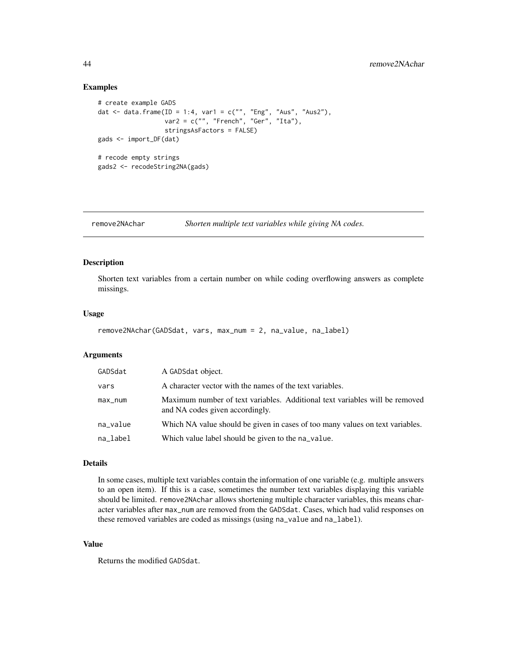#### Examples

```
# create example GADS
dat <- data.frame(ID = 1:4, var1 = c("", "Eng", "Aus", "Aus2"),
                  var2 = c("", "French", "Ger", "Ita"),
                  stringsAsFactors = FALSE)
gads <- import_DF(dat)
# recode empty strings
gads2 <- recodeString2NA(gads)
```
remove2NAchar *Shorten multiple text variables while giving NA codes.*

### Description

Shorten text variables from a certain number on while coding overflowing answers as complete missings.

## Usage

```
remove2NAchar(GADSdat, vars, max_num = 2, na_value, na_label)
```
## Arguments

| GADSdat  | A GADSdat object.                                                                                              |
|----------|----------------------------------------------------------------------------------------------------------------|
| vars     | A character vector with the names of the text variables.                                                       |
| max_num  | Maximum number of text variables. Additional text variables will be removed<br>and NA codes given accordingly. |
| na_value | Which NA value should be given in cases of too many values on text variables.                                  |
| na_label | Which value label should be given to the na_value.                                                             |

#### Details

In some cases, multiple text variables contain the information of one variable (e.g. multiple answers to an open item). If this is a case, sometimes the number text variables displaying this variable should be limited. remove2NAchar allows shortening multiple character variables, this means character variables after max\_num are removed from the GADSdat. Cases, which had valid responses on these removed variables are coded as missings (using na\_value and na\_label).

#### Value

Returns the modified GADSdat.

<span id="page-43-0"></span>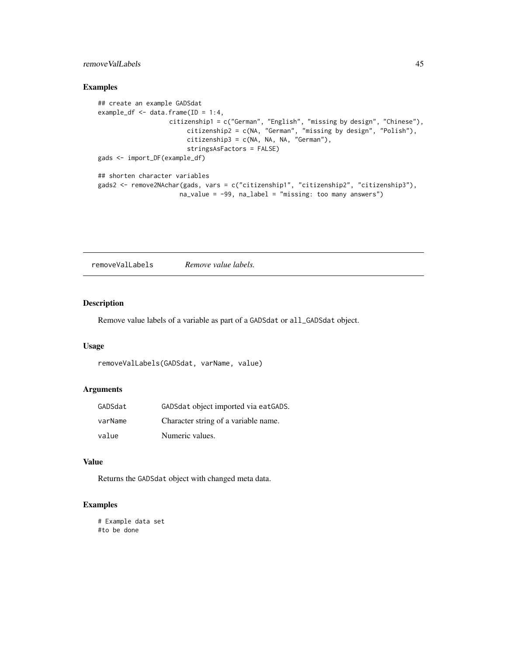## <span id="page-44-0"></span>removeValLabels 45

## Examples

```
## create an example GADSdat
example_df <- data.frame(ID = 1:4,
                   citizenship1 = c("German", "English", "missing by design", "Chinese"),
                        citizenship2 = c(NA, "German", "missing by design", "Polish"),
                        citizenship3 = c(NA, NA, NA, "German"),
                        stringsAsFactors = FALSE)
gads <- import_DF(example_df)
## shorten character variables
gads2 <- remove2NAchar(gads, vars = c("citizenship1", "citizenship2", "citizenship3"),
                     na_value = -99, na_label = "missing: too many answers")
```
removeValLabels *Remove value labels.*

#### Description

Remove value labels of a variable as part of a GADSdat or all\_GADSdat object.

## Usage

```
removeValLabels(GADSdat, varName, value)
```
#### Arguments

| GADSdat | GADSdat object imported via eatGADS. |
|---------|--------------------------------------|
| varName | Character string of a variable name. |
| value   | Numeric values.                      |

#### Value

Returns the GADSdat object with changed meta data.

```
# Example data set
#to be done
```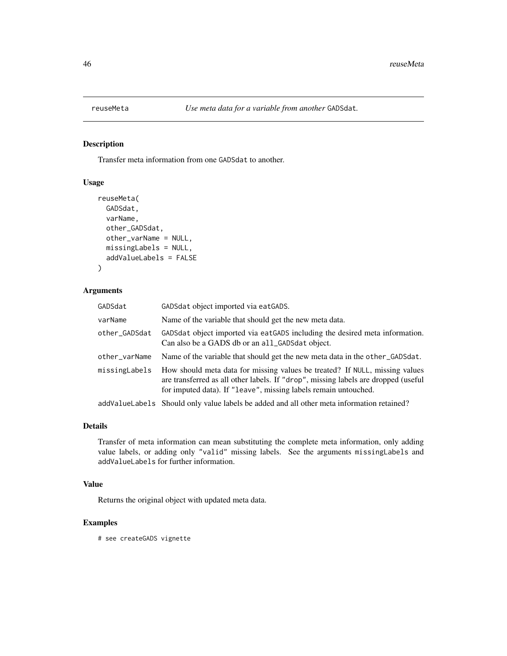<span id="page-45-0"></span>

Transfer meta information from one GADSdat to another.

## Usage

```
reuseMeta(
 GADSdat,
  varName,
 other_GADSdat,
 other_varName = NULL,
 missingLabels = NULL,
  addValueLabels = FALSE
)
```
## Arguments

| GADSdat       | GADSdat object imported via eatGADS.                                                                                                                                                                                                 |
|---------------|--------------------------------------------------------------------------------------------------------------------------------------------------------------------------------------------------------------------------------------|
| varName       | Name of the variable that should get the new meta data.                                                                                                                                                                              |
| other_GADSdat | GADSdat object imported via eatGADS including the desired meta information.<br>Can also be a GADS db or an all_GADSdat object.                                                                                                       |
| other_varName | Name of the variable that should get the new meta data in the other_GADSdat.                                                                                                                                                         |
| missingLabels | How should meta data for missing values be treated? If NULL, missing values<br>are transferred as all other labels. If "drop", missing labels are dropped (useful<br>for imputed data). If "leave", missing labels remain untouched. |
|               | addValueLabels Should only value labels be added and all other meta information retained?                                                                                                                                            |

## Details

Transfer of meta information can mean substituting the complete meta information, only adding value labels, or adding only "valid" missing labels. See the arguments missingLabels and addValueLabels for further information.

## Value

Returns the original object with updated meta data.

## Examples

# see createGADS vignette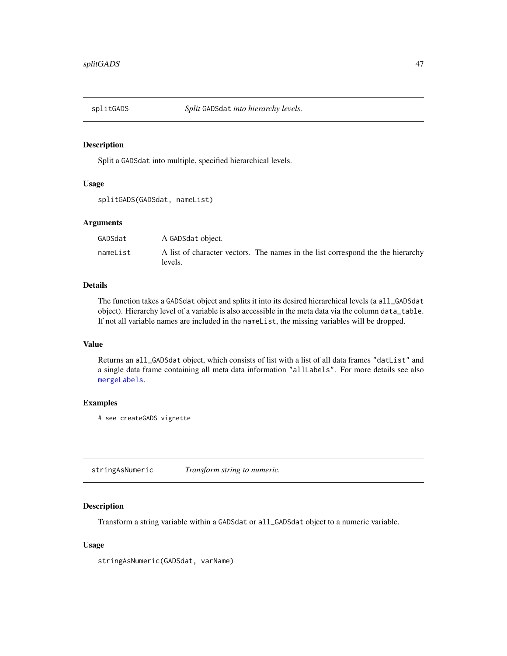<span id="page-46-0"></span>

Split a GADSdat into multiple, specified hierarchical levels.

#### Usage

```
splitGADS(GADSdat, nameList)
```
## Arguments

| GADSdat  | A GADSdat object.                                                                          |
|----------|--------------------------------------------------------------------------------------------|
| nameList | A list of character vectors. The names in the list correspond the the hierarchy<br>levels. |

## Details

The function takes a GADSdat object and splits it into its desired hierarchical levels (a all\_GADSdat object). Hierarchy level of a variable is also accessible in the meta data via the column data\_table. If not all variable names are included in the nameList, the missing variables will be dropped.

#### Value

Returns an all\_GADSdat object, which consists of list with a list of all data frames "datList" and a single data frame containing all meta data information "allLabels". For more details see also [mergeLabels](#page-37-1).

## Examples

# see createGADS vignette

stringAsNumeric *Transform string to numeric.*

## Description

Transform a string variable within a GADSdat or all\_GADSdat object to a numeric variable.

## Usage

stringAsNumeric(GADSdat, varName)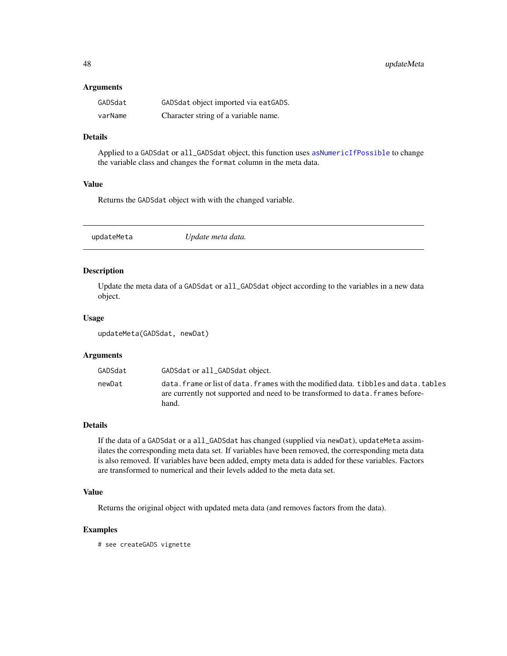#### <span id="page-47-0"></span>**Arguments**

| GADSdat | GADSdat object imported via eatGADS. |
|---------|--------------------------------------|
| varName | Character string of a variable name. |

## Details

Applied to a GADSdat or all\_GADSdat object, this function uses [asNumericIfPossible](#page-0-0) to change the variable class and changes the format column in the meta data.

## Value

Returns the GADSdat object with with the changed variable.

<span id="page-47-1"></span>

|  | Update meta data. | updateMeta |
|--|-------------------|------------|
|--|-------------------|------------|

## Description

Update the meta data of a GADSdat or all\_GADSdat object according to the variables in a new data object.

#### Usage

updateMeta(GADSdat, newDat)

## Arguments

| GADSdat | GADSdat or all_GADSdat object.                                                                                                                                                  |
|---------|---------------------------------------------------------------------------------------------------------------------------------------------------------------------------------|
| newDat  | data. frame or list of data. frames with the modified data. tibbles and data. tables<br>are currently not supported and need to be transformed to data. frames before-<br>hand. |

## Details

If the data of a GADSdat or a all\_GADSdat has changed (supplied via newDat), updateMeta assimilates the corresponding meta data set. If variables have been removed, the corresponding meta data is also removed. If variables have been added, empty meta data is added for these variables. Factors are transformed to numerical and their levels added to the meta data set.

## Value

Returns the original object with updated meta data (and removes factors from the data).

## Examples

# see createGADS vignette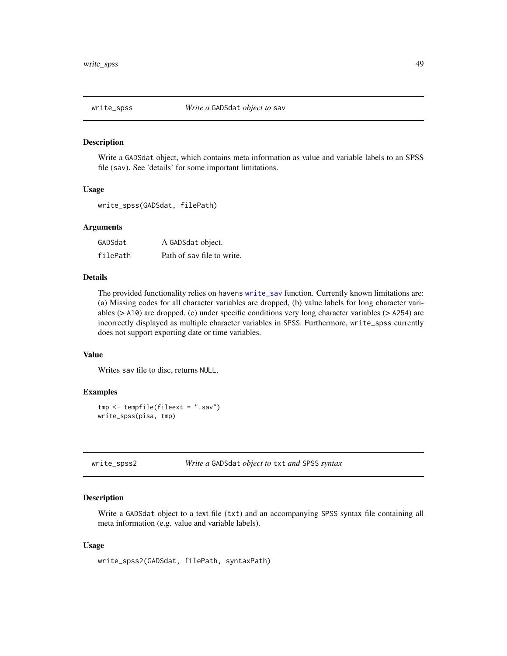<span id="page-48-0"></span>

Write a GADSdat object, which contains meta information as value and variable labels to an SPSS file (sav). See 'details' for some important limitations.

#### Usage

```
write_spss(GADSdat, filePath)
```
## Arguments

| GADSdat  | A GADSdat object.          |
|----------|----------------------------|
| filePath | Path of say file to write. |

#### Details

The provided functionality relies on havens [write\\_sav](#page-0-0) function. Currently known limitations are: (a) Missing codes for all character variables are dropped, (b) value labels for long character variables (> A10) are dropped, (c) under specific conditions very long character variables (> A254) are incorrectly displayed as multiple character variables in SPSS. Furthermore, write\_spss currently does not support exporting date or time variables.

#### Value

Writes sav file to disc, returns NULL.

## Examples

```
tmp <- tempfile(fileext = ".sav")
write_spss(pisa, tmp)
```
write\_spss2 *Write a* GADSdat *object to* txt *and* SPSS *syntax*

#### **Description**

Write a GADSdat object to a text file (txt) and an accompanying SPSS syntax file containing all meta information (e.g. value and variable labels).

#### Usage

```
write_spss2(GADSdat, filePath, syntaxPath)
```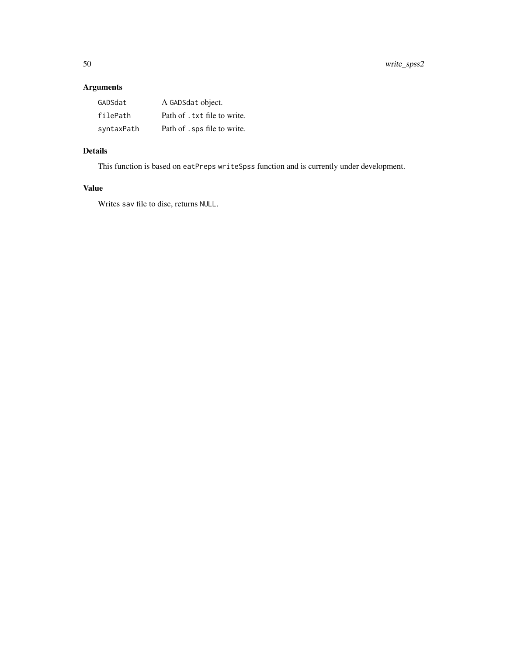# Arguments

| GADSdat    | A GADSdat object.            |
|------------|------------------------------|
| filePath   | Path of . txt file to write. |
| syntaxPath | Path of . sps file to write. |

# Details

This function is based on eatPreps writeSpss function and is currently under development.

# Value

Writes sav file to disc, returns NULL.